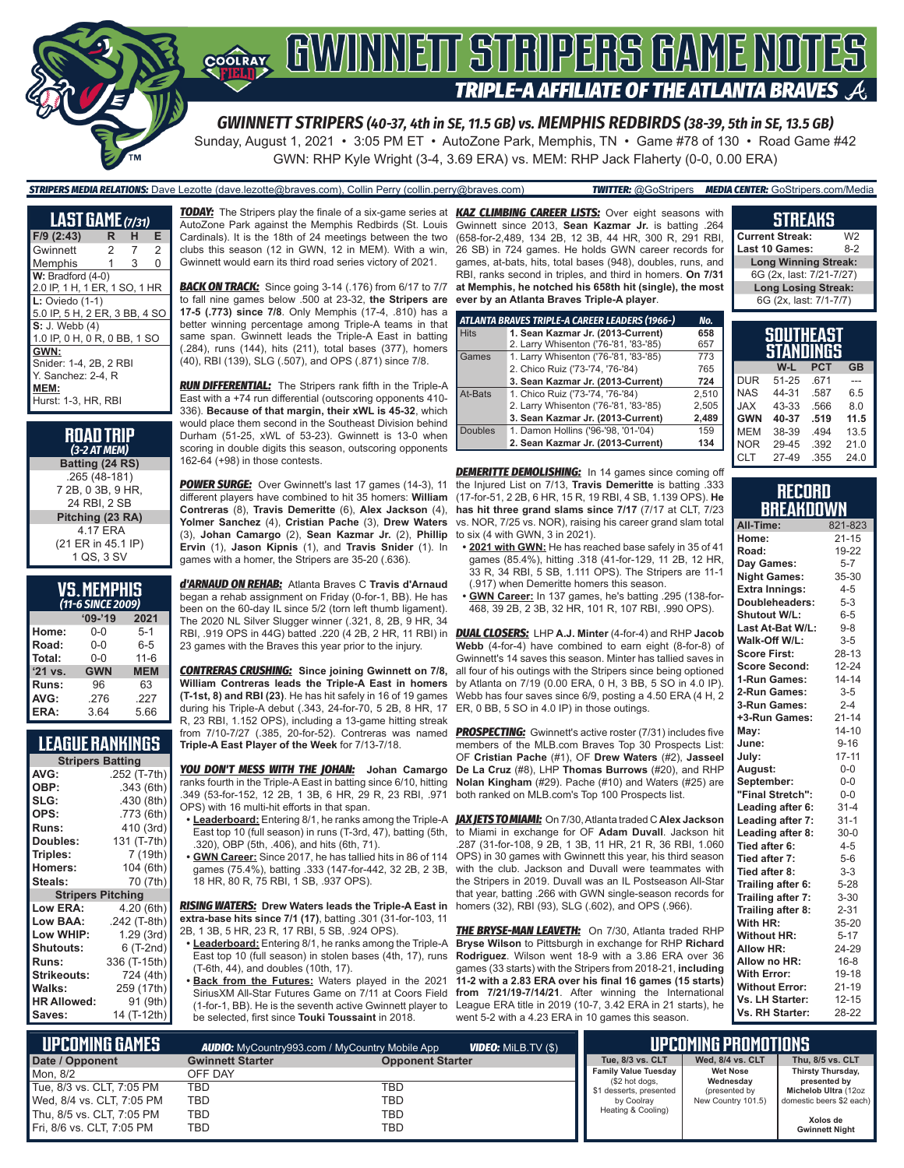

### GWINNEIT STRIPERS GAME NOTES COOLRAY **TRIPLE-A AFFILIATE OF THE ATLANTA BRAVES**

*GWINNETT STRIPERS (40-37, 4th in SE, 11.5 GB) vs. MEMPHIS REDBIRDS (38-39, 5th in SE, 13.5 GB)* Sunday, August 1, 2021 • 3:05 PM ET • AutoZone Park, Memphis, TN • Game #78 of 130 • Road Game #42

GWN: RHP Kyle Wright (3-4, 3.69 ERA) vs. MEM: RHP Jack Flaherty (0-0, 0.00 ERA)

*STRIPERS MEDIA RELATIONS:* Dave Lezotte (dave.lezotte@braves.com), Collin Perry (collin.perry@braves.com) *TWITTER:* @GoStripers *MEDIA CENTER:* GoStripers.com/Media

| <b>LAST GAME</b> (7/31)       |    |   |          |  |
|-------------------------------|----|---|----------|--|
| $F/9$ (2:43)                  | R. | н | E        |  |
| Gwinnett                      | 2  | 7 | 2        |  |
| Memphis                       | 1  | 3 | $\Omega$ |  |
| $W:$ Bradford $(4-0)$         |    |   |          |  |
| 2.0 IP, 1 H, 1 ER, 1 SO, 1 HR |    |   |          |  |
| $L:$ Oviedo $(1-1)$           |    |   |          |  |
| 5.0 IP, 5 H, 2 ER, 3 BB, 4 SO |    |   |          |  |
| $S: J.$ Webb $(4)$            |    |   |          |  |
| 1.0 IP, 0 H, 0 R, 0 BB, 1 SO  |    |   |          |  |
| GWN:                          |    |   |          |  |
| Snider: 1-4, 2B, 2 RBI        |    |   |          |  |
| Y. Sanchez: 2-4. R            |    |   |          |  |
| MEM:                          |    |   |          |  |
| Hurst: 1-3, HR, RBI           |    |   |          |  |

| <b>ROAD TRIP</b><br>(3-2 AT MEM) |
|----------------------------------|
| Batting (24 RS)                  |
| .265 (48-181)                    |
| 7 2B, 0 3B, 9 HR,                |
| 24 RBI. 2 SB                     |
| Pitching (23 RA)                 |
| 4.17 ERA                         |
| (21 ER in 45.1 IP)               |
| 1 QS, 3 SV                       |

| <b>VS. MEMPHIS</b>    |  |  |
|-----------------------|--|--|
| $(11 - 6$ SINCE 2000) |  |  |

| (11-6 SINCE 2009) |            |            |  |
|-------------------|------------|------------|--|
|                   | $09 - 19$  | 2021       |  |
| Home:             | $0 - 0$    | $5 - 1$    |  |
| Road:             | $0 - 0$    | $6 - 5$    |  |
| Total:            | $0 - 0$    | $11 - 6$   |  |
| $'21$ vs.         | <b>GWN</b> | <b>MEM</b> |  |
| Runs:             | 96         | 63         |  |
| AVG:              | .276       | .227       |  |
| ERA:              | 3.64       | 5.66       |  |

### **LEAGUE RANKINGS**

| <b>Stripers Batting</b>  |              |  |  |
|--------------------------|--------------|--|--|
| AVG:                     | .252 (T-7th) |  |  |
| OBP:                     | .343 (6th)   |  |  |
| SLG:                     | .430 (8th)   |  |  |
| OPS:                     | .773 (6th)   |  |  |
| <b>Runs:</b>             | 410 (3rd)    |  |  |
| Doubles:                 | 131 (T-7th)  |  |  |
| Triples:                 | 7 (19th)     |  |  |
| <b>Homers:</b>           | 104 (6th)    |  |  |
| Steals:                  | 70 (7th)     |  |  |
| <b>Stripers Pitching</b> |              |  |  |
| <b>Low ERA:</b>          | 4.20 (6th)   |  |  |
| Low BAA:                 | .242 (T-8th) |  |  |
| Low WHIP:                | 1.29(3rd)    |  |  |
| <b>Shutouts:</b>         | 6 (T-2nd)    |  |  |
| <b>Runs:</b>             | 336 (T-15th) |  |  |
| <b>Strikeouts:</b>       | 724 (4th)    |  |  |
| <b>Walks:</b>            | 259 (17th)   |  |  |
| <b>HR Allowed:</b>       | 91 (9th)     |  |  |
| Saves:                   | 14 (T-12th)  |  |  |

*TODAY:* The Stripers play the finale of a six-game series at *KAZ CLIMBING CAREER LISTS:* Over eight seasons with AutoZone Park against the Memphis Redbirds (St. Louis Cardinals). It is the 18th of 24 meetings between the two clubs this season (12 in GWN, 12 in MEM). With a win, Gwinnett would earn its third road series victory of 2021.

**BACK ON TRACK:** Since going 3-14 (.176) from 6/17 to 7/7 to fall nine games below .500 at 23-32, **the Stripers are 17-5 (.773) since 7/8**. Only Memphis (17-4, .810) has a better winning percentage among Triple-A teams in that same span. Gwinnett leads the Triple-A East in batting (.284), runs (144), hits (211), total bases (377), homers (40), RBI (139), SLG (.507), and OPS (.871) since 7/8.

*RUN DIFFERENTIAL:* The Stripers rank fifth in the Triple-A East with a +74 run differential (outscoring opponents 410- 336). **Because of that margin, their xWL is 45-32**, which would place them second in the Southeast Division behind Durham (51-25, xWL of 53-23). Gwinnett is 13-0 when scoring in double digits this season, outscoring opponents 162-64 (+98) in those contests.

*POWER SURGE:* Over Gwinnett's last 17 games (14-3), 11 different players have combined to hit 35 homers: **William Contreras** (8), **Travis Demeritte** (6), **Alex Jackson** (4), **Yolmer Sanchez** (4), **Cristian Pache** (3), **Drew Waters** (3), **Johan Camargo** (2), **Sean Kazmar Jr.** (2), **Phillip**  to six (4 with GWN, 3 in 2021). **Ervin** (1), **Jason Kipnis** (1), and **Travis Snider** (1). In games with a homer, the Stripers are 35-20 (.636).

*d'ARNAUD ON REHAB:* Atlanta Braves C **Travis d'Arnaud** began a rehab assignment on Friday (0-for-1, BB). He has been on the 60-day IL since 5/2 (torn left thumb ligament). The 2020 NL Silver Slugger winner (.321, 8, 2B, 9 HR, 34 RBI, .919 OPS in 44G) batted .220 (4 2B, 2 HR, 11 RBI) in 23 games with the Braves this year prior to the injury.

*CONTRERAS CRUSHING:* **Since joining Gwinnett on 7/8, William Contreras leads the Triple-A East in homers (T-1st, 8) and RBI (23)**. He has hit safely in 16 of 19 games during his Triple-A debut (.343, 24-for-70, 5 2B, 8 HR, 17 R, 23 RBI, 1.152 OPS), including a 13-game hitting streak from 7/10-7/27 (.385, 20-for-52). Contreras was named **Triple-A East Player of the Week** for 7/13-7/18.

*YOU DON'T MESS WITH THE JOHAN:* **Johan Camargo**  ranks fourth in the Triple-A East in batting since 6/10, hitting **Nolan Kingham** (#29). Pache (#10) and Waters (#25) are .349 (53-for-152, 12 2B, 1 3B, 6 HR, 29 R, 23 RBI, .971 OPS) with 16 multi-hit efforts in that span.

- **• Leaderboard:** Entering 8/1, he ranks among the Triple-A *JAX JETS TO MIAMI:* On 7/30, Atlanta traded C **Alex Jackson** East top 10 (full season) in runs (T-3rd, 47), batting (5th, .320), OBP (5th, .406), and hits (6th, 71).
- **• GWN Career:** Since 2017, he has tallied hits in 86 of 114 games (75.4%), batting .333 (147-for-442, 32 2B, 2 3B, 18 HR, 80 R, 75 RBI, 1 SB, .937 OPS).

*RISING WATERS:* **Drew Waters leads the Triple-A East in**  homers (32), RBI (93), SLG (.602), and OPS (.966). **extra-base hits since 7/1 (17)**, batting .301 (31-for-103, 11 2B, 1 3B, 5 HR, 23 R, 17 RBI, 5 SB, .924 OPS).

- **• Leaderboard:** Entering 8/1, he ranks among the Triple-A East top 10 (full season) in stolen bases (4th, 17), runs (T-6th, 44), and doubles (10th, 17).
- **• Back from the Futures:** Waters played in the 2021 SiriusXM All-Star Futures Game on 7/11 at Coors Field (1-for-1, BB). He is the seventh active Gwinnett player to be selected, first since **Touki Toussaint** in 2018.

Gwinnett since 2013, **Sean Kazmar Jr.** is batting .264 (658-for-2,489, 134 2B, 12 3B, 44 HR, 300 R, 291 RBI, 26 SB) in 724 games. He holds GWN career records for games, at-bats, hits, total bases (948), doubles, runs, and RBI, ranks second in triples, and third in homers. **On 7/31 at Memphis, he notched his 658th hit (single), the most ever by an Atlanta Braves Triple-A player**.

|                | ATLANTA BRAVES TRIPLE-A CAREER LEADERS (1966-)<br>No. |       |  |  |
|----------------|-------------------------------------------------------|-------|--|--|
| <b>Hits</b>    | 1. Sean Kazmar Jr. (2013-Current)                     | 658   |  |  |
|                | 2. Larry Whisenton ('76-'81, '83-'85)                 | 657   |  |  |
| Games          | 1. Larry Whisenton ('76-'81, '83-'85)                 | 773   |  |  |
|                | 2. Chico Ruiz ('73-'74, '76-'84)                      | 765   |  |  |
|                | 3. Sean Kazmar Jr. (2013-Current)                     | 724   |  |  |
| At-Bats        | 1. Chico Ruiz ('73-'74, '76-'84)                      | 2.510 |  |  |
|                | 2. Larry Whisenton ('76-'81, '83-'85)                 | 2.505 |  |  |
|                | 3. Sean Kazmar Jr. (2013-Current)                     | 2,489 |  |  |
| <b>Doubles</b> | 1. Damon Hollins ('96-'98, '01-'04)                   | 159   |  |  |
|                | 2. Sean Kazmar Jr. (2013-Current)                     | 134   |  |  |

**DEMERITTE DEMOLISHING:** In 14 games since coming off the Injured List on 7/13, **Travis Demeritte** is batting .333 (17-for-51, 2 2B, 6 HR, 15 R, 19 RBI, 4 SB, 1.139 OPS). **He**  has hit three grand slams since 7/17 (7/17 at CLT, 7/23 vs. NOR, 7/25 vs. NOR), raising his career grand slam total

- **• 2021 with GWN:** He has reached base safely in 35 of 41 games (85.4%), hitting .318 (41-for-129, 11 2B, 12 HR, 33 R, 34 RBI, 5 SB, 1.111 OPS). The Stripers are 11-1 (.917) when Demeritte homers this season.
- **• GWN Career:** In 137 games, he's batting .295 (138-for-468, 39 2B, 2 3B, 32 HR, 101 R, 107 RBI, .990 OPS).

*DUAL CLOSERS:* LHP **A.J. Minter** (4-for-4) and RHP **Jacob Webb** (4-for-4) have combined to earn eight (8-for-8) of Gwinnett's 14 saves this season. Minter has tallied saves in all four of his outings with the Stripers since being optioned by Atlanta on 7/19 (0.00 ERA, 0 H, 3 BB, 5 SO in 4.0 IP). Webb has four saves since 6/9, posting a 4.50 ERA (4 H, 2 ER, 0 BB, 5 SO in 4.0 IP) in those outings.

**PROSPECTING:** Gwinnett's active roster (7/31) includes five members of the MLB.com Braves Top 30 Prospects List: OF **Cristian Pache** (#1), OF **Drew Waters** (#2), **Jasseel De La Cruz** (#8), LHP **Thomas Burrows** (#20), and RHP both ranked on MLB.com's Top 100 Prospects list.

to Miami in exchange for OF **Adam Duvall**. Jackson hit .287 (31-for-108, 9 2B, 1 3B, 11 HR, 21 R, 36 RBI, 1.060 OPS) in 30 games with Gwinnett this year, his third season with the club. Jackson and Duvall were teammates with the Stripers in 2019. Duvall was an IL Postseason All-Star that year, batting .266 with GWN single-season records for

**THE BRYSE-MAN LEAVETH:** On 7/30, Atlanta traded RHP **Bryse Wilson** to Pittsburgh in exchange for RHP **Richard Rodriguez**. Wilson went 18-9 with a 3.86 ERA over 36 games (33 starts) with the Stripers from 2018-21, **including 11-2 with a 2.83 ERA over his final 16 games (15 starts) from 7/21/19-7/14/21**. After winning the International League ERA title in 2019 (10-7, 3.42 ERA in 21 starts), he went 5-2 with a 4.23 ERA in 10 games this season.

#### **STREAKS**

**Current Streak:** W2<br>**Last 10 Games:** 8-2 **Last 10 Games: Long Winning Streak:** 6G (2x, last: 7/21-7/27) **Long Losing Streak:** 6G (2x, last: 7/1-7/7)

|    | <b>SOUTHEAST</b><br><b>STANDINGS</b> |            |    |
|----|--------------------------------------|------------|----|
|    | W-L                                  | <b>PCT</b> | GB |
| UR | 51-25                                | 671        |    |

| <b>DUR</b> | 51-25 | .671 |      |
|------------|-------|------|------|
| <b>NAS</b> | 44-31 | .587 | 6.5  |
| <b>JAX</b> | 43-33 | .566 | 8.0  |
| <b>GWN</b> | 40-37 | .519 | 11.5 |
| <b>MEM</b> | 38-39 | .494 | 13.5 |
| <b>NOR</b> | 29-45 | .392 | 21.0 |
| CLT        | 27-49 | .355 | 24.0 |

#### **RECORD BREAKDOWN**

| All-Time:             | 821-823   |
|-----------------------|-----------|
| Home:                 | $21 - 15$ |
| Road:                 | 19-22     |
| Day Games:            | $5 - 7$   |
| <b>Night Games:</b>   | 35-30     |
| <b>Extra Innings:</b> | $4 - 5$   |
| Doubleheaders:        | $5 - 3$   |
| Shutout W/L:          | $6 - 5$   |
| Last At-Bat W/L:      | $9 - 8$   |
| Walk-Off W/L:         | $3 - 5$   |
| <b>Score First:</b>   | $28 - 13$ |
| <b>Score Second:</b>  | $12 - 24$ |
| 1-Run Games:          | $14 - 14$ |
| 2-Run Games:          | $3 - 5$   |
| 3-Run Games:          | $2 - 4$   |
| +3-Run Games:         | $21 - 14$ |
| May:                  | $14 - 10$ |
| June:                 | $9 - 16$  |
| July:                 | $17 - 11$ |
| August:               | $0-0$     |
| September:            | $0-0$     |
| "Final Stretch":      | $0 - 0$   |
| Leading after 6:      | $31 - 4$  |
| Leading after 7:      | $31-1$    |
| Leading after 8:      | $30 - 0$  |
| Tied after 6:         | $4 - 5$   |
| Tied after 7:         | $5-6$     |
| Tied after 8:         | $3 - 3$   |
| Trailing after 6:     | $5 - 28$  |
| Trailing after 7:     | $3 - 30$  |
| Trailing after 8:     | $2 - 31$  |
| With HR:              | 35-20     |
| <b>Without HR:</b>    | $5 - 17$  |
| <b>Allow HR:</b>      | 24-29     |
| Allow no HR:          | $16 - 8$  |
| <b>With Error:</b>    | 19-18     |
| <b>Without Error:</b> | $21 - 19$ |
| Vs. LH Starter:       | $12 - 15$ |
| Vs. RH Starter:       | 28-22     |

| L UPCOMING GAMES I<br><b>VIDEO:</b> Milb.TV (\$)<br><b>AUDIO:</b> MyCountry993.com / MyCountry Mobile App |                         |                         | UPCOMING PROMOTIONS '                         |                              |                                   |
|-----------------------------------------------------------------------------------------------------------|-------------------------|-------------------------|-----------------------------------------------|------------------------------|-----------------------------------|
| Date / Opponent                                                                                           | <b>Gwinnett Starter</b> | <b>Opponent Starter</b> | Tue, 8/3 vs. CLT                              | Wed. 8/4 vs. CLT             | Thu, 8/5 vs. CLT                  |
| Mon. 8/2                                                                                                  | OFF DAY                 |                         | <b>Family Value Tuesday</b><br>(\$2 hot dogs, | <b>Wet Nose</b><br>Wednesday | Thirsty Thursday,<br>presented by |
| Tue, 8/3 vs. CLT, 7:05 PM                                                                                 | <b>TBD</b>              | TBD                     | \$1 desserts, presented                       | (presented by                | Michelob Ultra (12oz              |
| Wed, 8/4 vs. CLT, 7:05 PM                                                                                 | TBD                     | TBD                     | by Coolray                                    | New Country 101.5)           | domestic beers \$2 each)          |
| Thu, 8/5 vs. CLT, 7:05 PM                                                                                 | TBD                     | TBD                     | Heating & Cooling)                            |                              | Xolos de                          |
| Fri, 8/6 vs. CLT, 7:05 PM                                                                                 | <b>TBD</b>              | TBD                     |                                               |                              | <b>Gwinnett Night</b>             |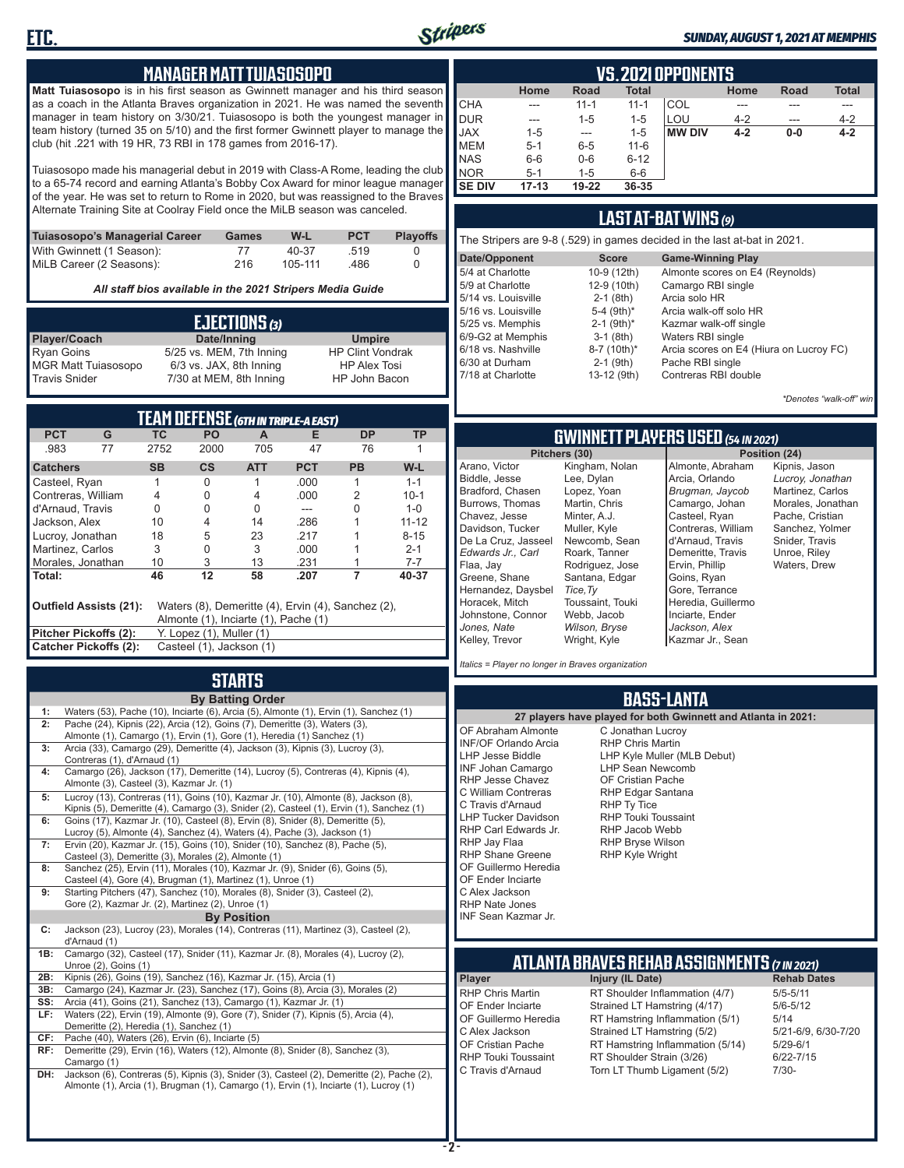

#### *SUNDAY, AUGUST 1, 2021 AT MEMPHIS*

#### **MANAGER MATT TUIASOSOPO**

**Matt Tuiasosopo** is in his first season as Gwinnett manager and his third season as a coach in the Atlanta Braves organization in 2021. He was named the seventh manager in team history on 3/30/21. Tuiasosopo is both the youngest manager in team history (turned 35 on 5/10) and the first former Gwinnett player to manage the club (hit .221 with 19 HR, 73 RBI in 178 games from 2016-17).

Tuiasosopo made his managerial debut in 2019 with Class-A Rome, leading the club to a 65-74 record and earning Atlanta's Bobby Cox Award for minor league manager of the year. He was set to return to Rome in 2020, but was reassigned to the Braves Alternate Training Site at Coolray Field once the MiLB season was canceled.

| Tuiasosopo's Managerial Career | Games | W-L     | <b>PCT</b> | <b>Plavoffs</b> |
|--------------------------------|-------|---------|------------|-----------------|
| With Gwinnett (1 Season):      | 77    | 40-37   | 519        |                 |
| MiLB Career (2 Seasons):       | 216   | 105-111 | .486       |                 |

*All staff bios available in the 2021 Stripers Media Guide*

|                            | EJECTIONS (3)            |                         |
|----------------------------|--------------------------|-------------------------|
| Player/Coach               | Date/Inning              | <b>Umpire</b>           |
| <b>Ryan Goins</b>          | 5/25 vs. MEM, 7th Inning | <b>HP Clint Vondrak</b> |
| <b>MGR Matt Tuiasosopo</b> | 6/3 vs. JAX, 8th Inning  | <b>HP Alex Tosi</b>     |
| <b>Travis Snider</b>       | 7/30 at MEM, 8th Inning  | HP John Bacon           |

| TEAM DEFENSE (6th in triple-a east)                                                                                  |                                                          |           |                          |            |            |           |           |  |  |  |  |
|----------------------------------------------------------------------------------------------------------------------|----------------------------------------------------------|-----------|--------------------------|------------|------------|-----------|-----------|--|--|--|--|
| <b>PCT</b>                                                                                                           | G                                                        | ТC        | PO                       | A          | Е          | <b>DP</b> | ТP        |  |  |  |  |
| .983                                                                                                                 | 77                                                       | 2752      | 2000                     | 705        | 47         | 76        |           |  |  |  |  |
| <b>Catchers</b>                                                                                                      |                                                          | <b>SB</b> | $\mathsf{cs}$            | <b>ATT</b> | <b>PCT</b> | <b>PB</b> | W-L       |  |  |  |  |
| Casteel, Ryan                                                                                                        |                                                          | 1         | 0                        |            | .000       | 1         | $1 - 1$   |  |  |  |  |
| Contreras, William                                                                                                   |                                                          | 4         | 0                        | 4          | .000.      | 2         | $10 - 1$  |  |  |  |  |
| d'Arnaud, Travis                                                                                                     |                                                          | 0         | 0                        | 0          |            | 0         | $1 - 0$   |  |  |  |  |
| Jackson, Alex                                                                                                        |                                                          | 10        | 4                        | 14         | .286       |           | $11 - 12$ |  |  |  |  |
| Lucroy, Jonathan                                                                                                     |                                                          | 18        | 5                        | 23         | .217       |           | $8 - 15$  |  |  |  |  |
| Martinez, Carlos                                                                                                     |                                                          | 3         | 0                        | 3          | .000       |           | $2 - 1$   |  |  |  |  |
| Morales, Jonathan                                                                                                    |                                                          | 10        | 3                        | 13         | .231       |           | $7 - 7$   |  |  |  |  |
| Total:                                                                                                               |                                                          | 46        | 12                       | 58         | .207       |           | 40-37     |  |  |  |  |
| Waters (8), Demeritte (4), Ervin (4), Sanchez (2),<br>Outfield Assists (21):<br>Almonte (1), Inciarte (1), Pache (1) |                                                          |           |                          |            |            |           |           |  |  |  |  |
| <b>Pitcher Pickoffs (2):</b>                                                                                         |                                                          |           | Y. Lopez (1), Muller (1) |            |            |           |           |  |  |  |  |
|                                                                                                                      | <b>Catcher Pickoffs (2):</b><br>Casteel (1), Jackson (1) |           |                          |            |            |           |           |  |  |  |  |

## **STARTS**

|     | <b>By Batting Order</b>                                                                    |
|-----|--------------------------------------------------------------------------------------------|
| 1:  | Waters (53), Pache (10), Inciarte (6), Arcia (5), Almonte (1), Ervin (1), Sanchez (1)      |
| 2:  | Pache (24), Kipnis (22), Arcia (12), Goins (7), Demeritte (3), Waters (3),                 |
|     | Almonte (1), Camargo (1), Ervin (1), Gore (1), Heredia (1) Sanchez (1)                     |
| 3:  | Arcia (33), Camargo (29), Demeritte (4), Jackson (3), Kipnis (3), Lucroy (3),              |
|     | Contreras (1), d'Arnaud (1)                                                                |
| 4:  | Camargo (26), Jackson (17), Demeritte (14), Lucroy (5), Contreras (4), Kipnis (4),         |
|     | Almonte (3), Casteel (3), Kazmar Jr. (1)                                                   |
| 5:  | Lucroy (13), Contreras (11), Goins (10), Kazmar Jr. (10), Almonte (8), Jackson (8),        |
|     | Kipnis (5), Demeritte (4), Camargo (3), Snider (2), Casteel (1), Ervin (1), Sanchez (1)    |
| 6:  | Goins (17), Kazmar Jr. (10), Casteel (8), Ervin (8), Snider (8), Demeritte (5),            |
|     | Lucroy (5), Almonte (4), Sanchez (4), Waters (4), Pache (3), Jackson (1)                   |
| 7:  | Ervin (20), Kazmar Jr. (15), Goins (10), Snider (10), Sanchez (8), Pache (5),              |
|     | Casteel (3), Demeritte (3), Morales (2), Almonte (1)                                       |
| 8:  | Sanchez (25), Ervin (11), Morales (10), Kazmar Jr. (9), Snider (6), Goins (5),             |
|     | Casteel (4), Gore (4), Brugman (1), Martinez (1), Unroe (1)                                |
| 9:  | Starting Pitchers (47), Sanchez (10), Morales (8), Snider (3), Casteel (2),                |
|     | Gore (2), Kazmar Jr. (2), Martinez (2), Unroe (1)                                          |
|     | <b>By Position</b>                                                                         |
| C:  | Jackson (23), Lucroy (23), Morales (14), Contreras (11), Martinez (3), Casteel (2),        |
|     | d'Arnaud (1)                                                                               |
| 1B: | Camargo (32), Casteel (17), Snider (11), Kazmar Jr. (8), Morales (4), Lucroy (2),          |
|     | Unroe $(2)$ , Goins $(1)$                                                                  |
| 2B: | Kipnis (26), Goins (19), Sanchez (16), Kazmar Jr. (15), Arcia (1)                          |
| 3B: | Camargo (24), Kazmar Jr. (23), Sanchez (17), Goins (8), Arcia (3), Morales (2)             |
| SS: | Arcia (41), Goins (21), Sanchez (13), Camargo (1), Kazmar Jr. (1)                          |
| LF: | Waters (22), Ervin (19), Almonte (9), Gore (7), Snider (7), Kipnis (5), Arcia (4),         |
|     | Demeritte (2), Heredia (1), Sanchez (1)                                                    |
| CF: | Pache (40), Waters (26), Ervin (6), Inciarte (5)                                           |
| RF: | Demeritte (29), Ervin (16), Waters (12), Almonte (8), Snider (8), Sanchez (3),             |
|     | Camargo (1)                                                                                |
| DH: | Jackson (6), Contreras (5), Kipnis (3), Snider (3), Casteel (2), Demeritte (2), Pache (2), |
|     | Almonte (1), Arcia (1), Brugman (1), Camargo (1), Ervin (1), Inciarte (1), Lucroy (1)      |
|     |                                                                                            |
|     |                                                                                            |

|               | VS.2021 OPPONENTS |             |              |               |         |               |              |  |  |  |  |  |  |
|---------------|-------------------|-------------|--------------|---------------|---------|---------------|--------------|--|--|--|--|--|--|
|               | Home              | <b>Road</b> | <b>Total</b> |               | Home    | <b>Road</b>   | <b>Total</b> |  |  |  |  |  |  |
| <b>CHA</b>    | ---               | $11 - 1$    | $11 - 1$     | COL           |         |               |              |  |  |  |  |  |  |
| DUR           | ---               | $1 - 5$     | $1 - 5$      | LOU           | $4 - 2$ | $\frac{1}{2}$ | $4 - 2$      |  |  |  |  |  |  |
| <b>JAX</b>    | $1 - 5$           | ---         | $1 - 5$      | <b>MW DIV</b> | $4 - 2$ | $0-0$         | $4 - 2$      |  |  |  |  |  |  |
| <b>IMEM</b>   | $5 - 1$           | $6 - 5$     | $11 - 6$     |               |         |               |              |  |  |  |  |  |  |
| <b>NAS</b>    | $6-6$             | $0-6$       | $6 - 12$     |               |         |               |              |  |  |  |  |  |  |
| <b>INOR</b>   | $5 - 1$           | $1 - 5$     | $6-6$        |               |         |               |              |  |  |  |  |  |  |
| <b>SE DIV</b> | $17 - 13$         | 19-22       | 36-35        |               |         |               |              |  |  |  |  |  |  |

### **LAST AT-BAT WINS** *(9)*

| The Stripers are 9-8 (.529) in games decided in the last at-bat in 2021. |                          |                                         |  |  |  |  |  |  |  |
|--------------------------------------------------------------------------|--------------------------|-----------------------------------------|--|--|--|--|--|--|--|
| Date/Opponent                                                            | <b>Score</b>             | <b>Game-Winning Play</b>                |  |  |  |  |  |  |  |
| 5/4 at Charlotte                                                         | 10-9 (12th)              | Almonte scores on E4 (Reynolds)         |  |  |  |  |  |  |  |
| 5/9 at Charlotte                                                         | 12-9 (10th)              | Camargo RBI single                      |  |  |  |  |  |  |  |
| 5/14 vs. Louisville                                                      | $2-1$ (8th)              | Arcia solo HR                           |  |  |  |  |  |  |  |
| 5/16 vs. Louisville                                                      | 5-4 (9th)*               | Arcia walk-off solo HR                  |  |  |  |  |  |  |  |
| 5/25 vs. Memphis                                                         | $2-1$ (9th) <sup>*</sup> | Kazmar walk-off single                  |  |  |  |  |  |  |  |
| 6/9-G2 at Memphis                                                        | $3-1$ (8th)              | Waters RBI single                       |  |  |  |  |  |  |  |
| 6/18 vs. Nashville                                                       | 8-7 (10th)*              | Arcia scores on E4 (Hiura on Lucroy FC) |  |  |  |  |  |  |  |
| 6/30 at Durham                                                           | $2-1$ (9th)              | Pache RBI single                        |  |  |  |  |  |  |  |
| 7/18 at Charlotte                                                        | 13-12 (9th)              | Contreras RBI double                    |  |  |  |  |  |  |  |
|                                                                          |                          |                                         |  |  |  |  |  |  |  |

*\*Denotes "walk-off" win*

**Sition (24)** 

Kipnis, Jason *Lucroy, Jonathan* Martinez, Carlos Morales, Jonathan Pache, Cristian Sanchez, Yolmer Snider, Travis Unroe, Riley Waters, Drew

#### **GWINNETT PLAYERS USED** *(54 IN 2021)*

| Pitchers (30)       | Po:              |                    |
|---------------------|------------------|--------------------|
| Arano, Victor       | Kingham, Nolan   | Almonte, Abraham   |
| Biddle, Jesse       | Lee, Dylan       | Arcia, Orlando     |
| Bradford, Chasen    | Lopez, Yoan      | Brugman, Jaycob    |
| Burrows, Thomas     | Martin, Chris    | Camargo, Johan     |
| Chavez, Jesse       | Minter, A.J.     | Casteel, Ryan      |
| Davidson. Tucker    | Muller, Kyle     | Contreras, William |
| De La Cruz, Jasseel | Newcomb, Sean    | d'Arnaud, Travis   |
| Edwards Jr Carl     | Roark, Tanner    | Demeritte, Travis  |
| Flaa, Jav           | Rodriguez, Jose  | Ervin, Phillip     |
| Greene, Shane       | Santana, Edgar   | Goins, Ryan        |
| Hernandez, Daysbel  | Tice, Ty         | Gore, Terrance     |
| Horacek, Mitch      | Toussaint, Touki | Heredia, Guillermo |
| Johnstone, Connor   | Webb, Jacob      | Inciarte, Ender    |
| Jones. Nate         | Wilson, Bryse    | Jackson, Alex      |
| Kelley, Trevor      | Wright, Kyle     | Kazmar Jr., Sean   |
|                     |                  |                    |

*Italics = Player no longer in Braves organization*

#### **BASS-LANTA**

**ATLANTA BRAVES REHAB ASSIGNMENTS** *(7 IN 2021)* **Player Injury (IL Date)** RHP Chris Martin RT Shoulder Inflammation (4/7) 5/5-5/11<br>CF Ender Inciarte Strained I T Hamstring (4/17) 5/6-5/12 OF Ender Inciarte Strained LT Hamstring (4/17) 5/6-5<br>OF Guillermo Heredia RT Hamstring Inflammation (5/1) 5/14 OF Guillermo Heredia RT Hamstring Inflammation (5/1) 5/14<br>C Alex Jackson Strained LT Hamstring (5/2) 5/21-6/9, 6/30-7/20 C Alex Jackson Strained LT Hamstring (5/2) 5/21-6/9<br>CF Cristian Pache RT Hamstring Inflammation (5/14) 5/29-6/1 OF Cristian Pache RT Hamstring Inflammation (5/14)<br>RHP Touki Toussaint RT Shoulder Strain (3/26) RHP Touki Toussaint RT Shoulder Strain (3/26) 6/22-7/15<br>C Travis d'Arnaud Torn LT Thumb Ligament (5/2) 7/30-Torn LT Thumb Ligament (5/2) **27 players have played for both Gwinnett and Atlanta in 2021:** OF Abraham Almonte INF/OF Orlando Arcia LHP Jesse Biddle INF Johan Camargo RHP Jesse Chavez C William Contreras C Travis d'Arnaud LHP Tucker Davidson RHP Carl Edwards Jr. RHP Jay Flaa RHP Shane Greene OF Guillermo Heredia OF Ender Inciarte C Alex Jackson RHP Nate Jones INF Sean Kazmar Jr. C Jonathan Lucroy RHP Chris Martin LHP Kyle Muller (MLB Debut) LHP Sean Newcomb OF Cristian Pache RHP Edgar Santana RHP Ty Tice RHP Touki Toussaint RHP Jacob Webb RHP Bryse Wilson RHP Kyle Wright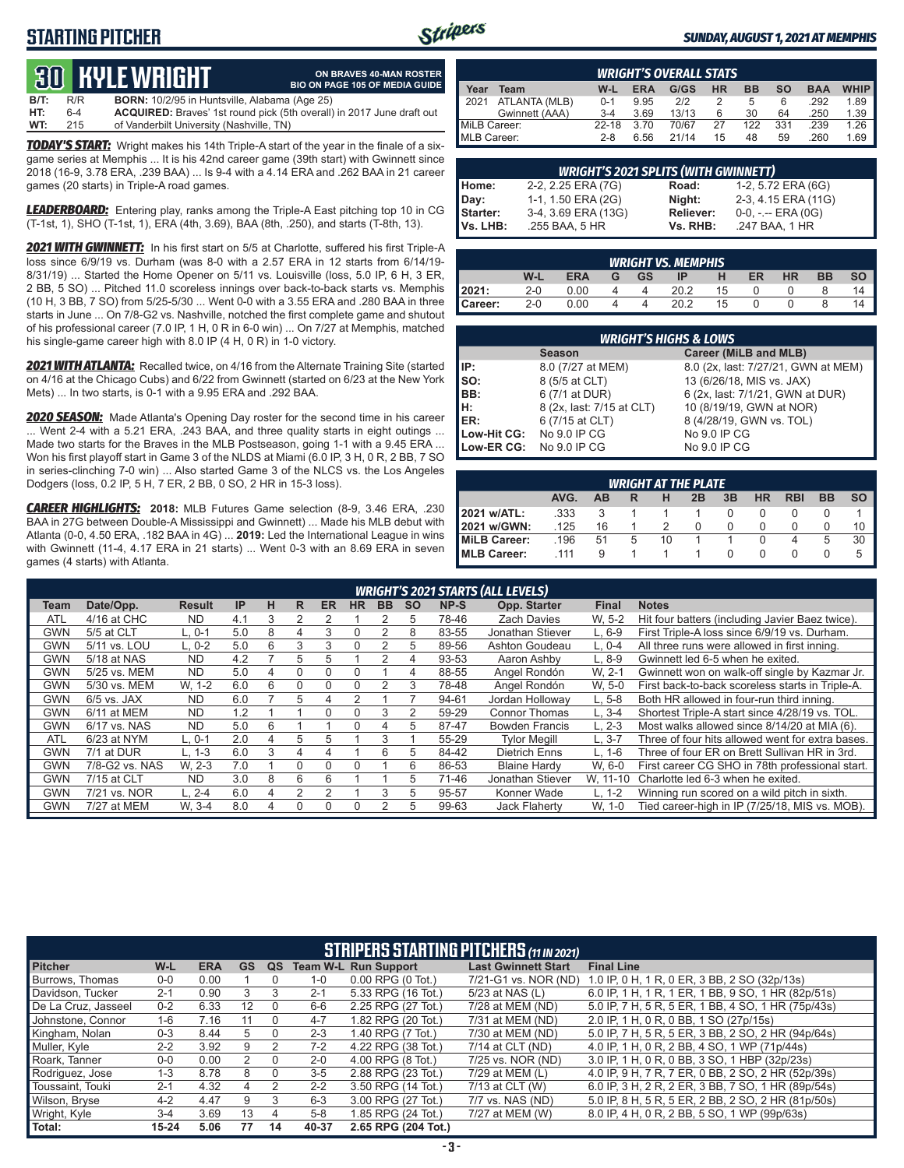### **STARTING PITCHER**



#### *SUNDAY, AUGUST 1, 2021 AT MEMPHIS*

## **30****KYLE WRIGHT B/T:** R/R **BORN:** 10<br>**HT:** 6-4 **ACQUIRE**

|      |       | CO HULLWINGHI                                        | <b>BIO ON PAGE 105 OF MEDIA GUIDE</b>                                        |
|------|-------|------------------------------------------------------|------------------------------------------------------------------------------|
| B/T: | R/R   | <b>BORN:</b> 10/2/95 in Huntsville, Alabama (Age 25) |                                                                              |
| HT:  | $6-4$ |                                                      | <b>ACQUIRED:</b> Braves' 1st round pick (5th overall) in 2017 June draft out |
| WT:  | 215   | of Vanderbilt University (Nashville, TN)             |                                                                              |

**ON BRAVES 40-MAN ROSTER**

*TODAY'S START:* Wright makes his 14th Triple-A start of the year in the finale of a sixgame series at Memphis ... It is his 42nd career game (39th start) with Gwinnett since 2018 (16-9, 3.78 ERA, .239 BAA) ... Is 9-4 with a 4.14 ERA and .262 BAA in 21 career games (20 starts) in Triple-A road games.

*LEADERBOARD:* Entering play, ranks among the Triple-A East pitching top 10 in CG (T-1st, 1), SHO (T-1st, 1), ERA (4th, 3.69), BAA (8th, .250), and starts (T-8th, 13).

*2021 WITH GWINNETT:* In his first start on 5/5 at Charlotte, suffered his first Triple-A loss since 6/9/19 vs. Durham (was 8-0 with a 2.57 ERA in 12 starts from 6/14/19- 8/31/19) ... Started the Home Opener on 5/11 vs. Louisville (loss, 5.0 IP, 6 H, 3 ER, 2 BB, 5 SO) ... Pitched 11.0 scoreless innings over back-to-back starts vs. Memphis (10 H, 3 BB, 7 SO) from 5/25-5/30 ... Went 0-0 with a 3.55 ERA and .280 BAA in three starts in June ... On 7/8-G2 vs. Nashville, notched the first complete game and shutout of his professional career (7.0 IP, 1 H, 0 R in 6-0 win) ... On 7/27 at Memphis, matched his single-game career high with 8.0 IP (4 H, 0 R) in 1-0 victory.

*2021 WITH ATLANTA:* Recalled twice, on 4/16 from the Alternate Training Site (started on 4/16 at the Chicago Cubs) and 6/22 from Gwinnett (started on 6/23 at the New York Mets) ... In two starts, is 0-1 with a 9.95 ERA and .292 BAA.

*2020 SEASON:* Made Atlanta's Opening Day roster for the second time in his career ... Went 2-4 with a 5.21 ERA, .243 BAA, and three quality starts in eight outings ... Made two starts for the Braves in the MLB Postseason, going 1-1 with a 9.45 ERA ... Won his first playoff start in Game 3 of the NLDS at Miami (6.0 IP, 3 H, 0 R, 2 BB, 7 SO in series-clinching 7-0 win) ... Also started Game 3 of the NLCS vs. the Los Angeles Dodgers (loss, 0.2 IP, 5 H, 7 ER, 2 BB, 0 SO, 2 HR in 15-3 loss).

*CAREER HIGHLIGHTS:* **2018:** MLB Futures Game selection (8-9, 3.46 ERA, .230 BAA in 27G between Double-A Mississippi and Gwinnett) ... Made his MLB debut with Atlanta (0-0, 4.50 ERA, .182 BAA in 4G) ... **2019:** Led the International League in wins with Gwinnett (11-4, 4.17 ERA in 21 starts) ... Went 0-3 with an 8.69 ERA in seven games (4 starts) with Atlanta.

|                     | <b>WRIGHT'S OVERALL STATS</b> |         |            |       |           |           |     |            |             |  |  |  |
|---------------------|-------------------------------|---------|------------|-------|-----------|-----------|-----|------------|-------------|--|--|--|
| Year                | Team                          | W-L     | <b>ERA</b> | G/GS  | <b>HR</b> | <b>BB</b> | so  | <b>BAA</b> | <b>WHIP</b> |  |  |  |
| $\blacksquare$ 2021 | ATLANTA (MLB)                 | $0 - 1$ | 9.95       | 2/2   |           | 5         | 6   | .292       | 1.89        |  |  |  |
|                     | Gwinnett (AAA)                | $3 - 4$ | 3.69       | 13/13 | 6         | 30        | 64  | .250       | 1.39        |  |  |  |
| MiLB Career:        |                               | 22-18   | 3.70       | 70/67 | 27        | 122       | 331 | .239       | 1.26        |  |  |  |
| MLB Career:         |                               | $2 - 8$ | 6.56       | 21/14 | 15        | 48        | 59  | .260       | 1.69        |  |  |  |

|                 | <b>WRIGHT'S 2021 SPLITS (WITH GWINNETT)</b> |                  |                       |  |  |  |  |  |  |  |  |  |
|-----------------|---------------------------------------------|------------------|-----------------------|--|--|--|--|--|--|--|--|--|
| Home:           | 2-2, 2.25 ERA (7G)                          | Road:            | 1-2, 5.72 ERA (6G)    |  |  |  |  |  |  |  |  |  |
| Day:            | 1-1, 1.50 ERA (2G)                          | Night:           | 2-3, 4.15 ERA (11G)   |  |  |  |  |  |  |  |  |  |
| <b>Starter:</b> | 3-4, 3.69 ERA (13G)                         | <b>Reliever:</b> | $0-0, - -$ ERA $(0G)$ |  |  |  |  |  |  |  |  |  |
| Vs. LHB:        | .255 BAA, 5 HR                              | Vs. RHB:         | .247 BAA, 1 HR        |  |  |  |  |  |  |  |  |  |

|         | <b>WRIGHT VS. MEMPHIS</b> |            |   |           |      |    |           |           |           |           |  |  |  |
|---------|---------------------------|------------|---|-----------|------|----|-----------|-----------|-----------|-----------|--|--|--|
|         | W-l                       | <b>ERA</b> | G | <b>GS</b> | IE   | н  | <b>ER</b> | <b>HR</b> | <b>BB</b> | <b>SO</b> |  |  |  |
| 2021:   | $2 - 0$                   | 0.00       |   |           | 20.2 | 15 |           |           |           | 14        |  |  |  |
| Career: | $2 - 0$                   | 0.00       |   |           | 202  | 15 |           |           |           | 14        |  |  |  |

| <b>WRIGHT'S HIGHS &amp; LOWS</b> |                           |                                     |  |  |  |  |  |  |  |  |  |
|----------------------------------|---------------------------|-------------------------------------|--|--|--|--|--|--|--|--|--|
|                                  | <b>Season</b>             | Career (MiLB and MLB)               |  |  |  |  |  |  |  |  |  |
| IIP:                             | 8.0 (7/27 at MEM)         | 8.0 (2x, last: 7/27/21, GWN at MEM) |  |  |  |  |  |  |  |  |  |
| Iso:                             | 8 (5/5 at CLT)            | 13 (6/26/18, MIS vs. JAX)           |  |  |  |  |  |  |  |  |  |
| IBB:                             | 6 (7/1 at DUR)            | 6 (2x, last: 7/1/21, GWN at DUR)    |  |  |  |  |  |  |  |  |  |
| IH:                              | 8 (2x, last: 7/15 at CLT) | 10 (8/19/19, GWN at NOR)            |  |  |  |  |  |  |  |  |  |
| <b>IER:</b>                      | 6 (7/15 at CLT)           | 8 (4/28/19, GWN vs. TOL)            |  |  |  |  |  |  |  |  |  |
| Low-Hit CG:                      | No 9.0 IP CG              | No 9.0 IP CG                        |  |  |  |  |  |  |  |  |  |
| Low-ER CG:                       | No 9.0 IP CG              | No 9.0 IP CG                        |  |  |  |  |  |  |  |  |  |

| <b>WRIGHT AT THE PLATE</b>                                                |      |    |   |    |  |  |  |   |   |    |  |  |
|---------------------------------------------------------------------------|------|----|---|----|--|--|--|---|---|----|--|--|
| AVG.<br>3B<br>SΟ<br><b>HR</b><br><b>RBI</b><br><b>BB</b><br>AB<br>2B<br>R |      |    |   |    |  |  |  |   |   |    |  |  |
| 2021 w/ATL:                                                               | .333 |    |   |    |  |  |  |   |   |    |  |  |
| 2021 w/GWN:                                                               | .125 | 16 |   |    |  |  |  | 0 |   | 10 |  |  |
| MiLB Career:                                                              | .196 | 51 | 5 | 10 |  |  |  |   | 5 | 30 |  |  |
| MLB Career:                                                               | 111  | 9  |   |    |  |  |  |   |   | 5  |  |  |

|            | <b>WRIGHT'S 2021 STARTS (ALL LEVELS)</b> |               |           |   |    |           |           |           |           |       |                       |              |                                                  |
|------------|------------------------------------------|---------------|-----------|---|----|-----------|-----------|-----------|-----------|-------|-----------------------|--------------|--------------------------------------------------|
| Team       | Date/Opp.                                | <b>Result</b> | <b>IP</b> | н | R. | <b>ER</b> | <b>HR</b> | <b>BB</b> | <b>SO</b> | NP-S  | Opp. Starter          | <b>Final</b> | <b>Notes</b>                                     |
| <b>ATL</b> | 4/16 at CHC                              | <b>ND</b>     | 4.1       | 3 |    |           |           |           | 5         | 78-46 | <b>Zach Davies</b>    | W. 5-2       | Hit four batters (including Javier Baez twice).  |
| GWN        | 5/5 at CLT                               | L. 0-1        | 5.0       | 8 | 4  | 3         | 0         |           | 8         | 83-55 | Jonathan Stiever      | $L.6-9$      | First Triple-A loss since 6/9/19 vs. Durham.     |
| GWN        | 5/11 vs. LOU                             | $L. 0-2$      | 5.0       | 6 | 3  | 3         | 0         | 2         | 5         | 89-56 | Ashton Goudeau        | $L. 0-4$     | All three runs were allowed in first inning.     |
| GWN        | 5/18 at NAS                              | <b>ND</b>     | 4.2       |   | 5  | 5         |           | 2         | 4         | 93-53 | Aaron Ashby           | $L.8-9$      | Gwinnett led 6-5 when he exited.                 |
| <b>GWN</b> | 5/25 vs. MEM                             | ND.           | 5.0       | 4 | 0  | 0         | 0         |           | 4         | 88-55 | Angel Rondón          | W. 2-1       | Gwinnett won on walk-off single by Kazmar Jr.    |
| GWN        | 5/30 vs. MEM                             | W. 1-2        | 6.0       | 6 | 0  | 0         | 0         |           | 3         | 78-48 | Angel Rondón          | W. 5-0       | First back-to-back scoreless starts in Triple-A. |
| GWN        | $6/5$ vs. JAX                            | <b>ND</b>     | 6.0       |   | 5  | 4         |           |           |           | 94-61 | Jordan Holloway       | $L, 5-8$     | Both HR allowed in four-run third inning.        |
| GWN        | 6/11 at MEM                              | <b>ND</b>     | 1.2       |   |    | 0         | 0         | 3         | 2         | 59-29 | Connor Thomas         | $L, 3-4$     | Shortest Triple-A start since 4/28/19 vs. TOL.   |
| GWN        | 6/17 vs. NAS                             | <b>ND</b>     | 5.0       | 6 |    |           | 0         | 4         | 5         | 87-47 | <b>Bowden Francis</b> | $L. 2-3$     | Most walks allowed since 8/14/20 at MIA (6).     |
| <b>ATL</b> | 6/23 at NYM                              | $L.0-1$       | 2.0       | 4 | 5  | 5         |           | 3         |           | 55-29 | <b>Tvlor Meaill</b>   | $L.3 - 7$    | Three of four hits allowed went for extra bases. |
| GWN        | 7/1 at DUR                               | $L. 1-3$      | 6.0       | 3 | 4  | 4         |           | 6         | 5         | 84-42 | <b>Dietrich Enns</b>  | L, 1-6       | Three of four ER on Brett Sullivan HR in 3rd.    |
| <b>GWN</b> | 7/8-G2 vs. NAS                           | W. 2-3        | 7.0       |   | 0  | $\Omega$  | 0         |           | 6         | 86-53 | <b>Blaine Hardy</b>   | W, 6-0       | First career CG SHO in 78th professional start.  |
| GWN        | 7/15 at CLT                              | ND.           | 3.0       | 8 | 6  | 6         |           |           | 5         | 71-46 | Jonathan Stiever      | W, 11-10     | Charlotte led 6-3 when he exited.                |
| GWN        | 7/21 vs. NOR                             | $L. 2 - 4$    | 6.0       | 4 | 2  | 2         |           | 3         | 5         | 95-57 | Konner Wade           | $L. 1-2$     | Winning run scored on a wild pitch in sixth.     |
| GWN        | 7/27 at MEM                              | W. 3-4        | 8.0       |   | 0  | 0         | 0         |           | 5         | 99-63 | <b>Jack Flaherty</b>  | W. 1-0       | Tied career-high in IP (7/25/18, MIS vs. MOB).   |

|                     | <b>STRIPERS STARTING PITCHERS (11 IN 2021)</b> |            |                   |    |         |                             |                            |                                                    |  |  |  |
|---------------------|------------------------------------------------|------------|-------------------|----|---------|-----------------------------|----------------------------|----------------------------------------------------|--|--|--|
| <b>Pitcher</b>      | W-L                                            | <b>ERA</b> | <b>GS</b>         | QS |         | <b>Team W-L Run Support</b> | <b>Last Gwinnett Start</b> | <b>Final Line</b>                                  |  |  |  |
| Burrows, Thomas     | $0 - 0$                                        | 0.00       |                   |    | $1 - 0$ | $0.00$ RPG $(0$ Tot.)       | 7/21-G1 vs. NOR (ND)       | 1.0 IP, 0 H, 1 R, 0 ER, 3 BB, 2 SO (32p/13s)       |  |  |  |
| Davidson, Tucker    | $2 - 1$                                        | 0.90       | 3                 |    | $2 - 1$ | 5.33 RPG (16 Tot.)          | 5/23 at NAS (L)            | 6.0 IP, 1 H, 1 R, 1 ER, 1 BB, 9 SO, 1 HR (82p/51s) |  |  |  |
| De La Cruz, Jasseel | $0 - 2$                                        | 6.33       | $12 \overline{ }$ |    | $6-6$   | 2.25 RPG (27 Tot.)          | 7/28 at MEM (ND)           | 5.0 IP, 7 H, 5 R, 5 ER, 1 BB, 4 SO, 1 HR (75p/43s) |  |  |  |
| Johnstone, Connor   | $1 - 6$                                        | 7.16       | 11                |    | $4 - 7$ | 1.82 RPG (20 Tot.)          | 7/31 at MEM (ND)           | 2.0 IP, 1 H, 0 R, 0 BB, 1 SO (27p/15s)             |  |  |  |
| Kingham, Nolan      | $0 - 3$                                        | 8.44       |                   |    | $2 - 3$ | 1.40 RPG (7 Tot.)           | 7/30 at MEM (ND)           | 5.0 IP. 7 H. 5 R. 5 ER. 3 BB. 2 SO. 2 HR (94p/64s) |  |  |  |
| Muller, Kyle        | $2 - 2$                                        | 3.92       | 9                 |    | $7-2$   | 4.22 RPG (38 Tot.)          | 7/14 at CLT (ND)           | 4.0 IP, 1 H, 0 R, 2 BB, 4 SO, 1 WP (71p/44s)       |  |  |  |
| Roark, Tanner       | $0-0$                                          | 0.00       |                   |    | $2 - 0$ | 4.00 RPG (8 Tot.)           | 7/25 vs. NOR (ND)          | 3.0 IP, 1 H, 0 R, 0 BB, 3 SO, 1 HBP (32p/23s)      |  |  |  |
| Rodriguez, Jose     | $1 - 3$                                        | 8.78       | 8                 |    | $3 - 5$ | 2.88 RPG (23 Tot.)          | 7/29 at MEM (L)            | 4.0 IP, 9 H, 7 R, 7 ER, 0 BB, 2 SO, 2 HR (52p/39s) |  |  |  |
| Toussaint, Touki    | $2 - 1$                                        | 4.32       | 4                 | 2  | $2 - 2$ | 3.50 RPG (14 Tot.)          | 7/13 at CLT (W)            | 6.0 IP, 3 H, 2 R, 2 ER, 3 BB, 7 SO, 1 HR (89p/54s) |  |  |  |
| Wilson, Bryse       | $4 - 2$                                        | 4.47       | 9                 | з  | $6 - 3$ | 3.00 RPG (27 Tot.)          | 7/7 vs. NAS (ND)           | 5.0 IP, 8 H, 5 R, 5 ER, 2 BB, 2 SO, 2 HR (81p/50s) |  |  |  |
| Wright, Kyle        | $3 - 4$                                        | 3.69       | 13                |    | $5 - 8$ | 1.85 RPG (24 Tot.)          | 7/27 at MEM (W)            | 8.0 IP, 4 H, 0 R, 2 BB, 5 SO, 1 WP (99p/63s)       |  |  |  |
| Total:              | $15 - 24$                                      | 5.06       | 77                | 14 | 40-37   | 2.65 RPG (204 Tot.)         |                            |                                                    |  |  |  |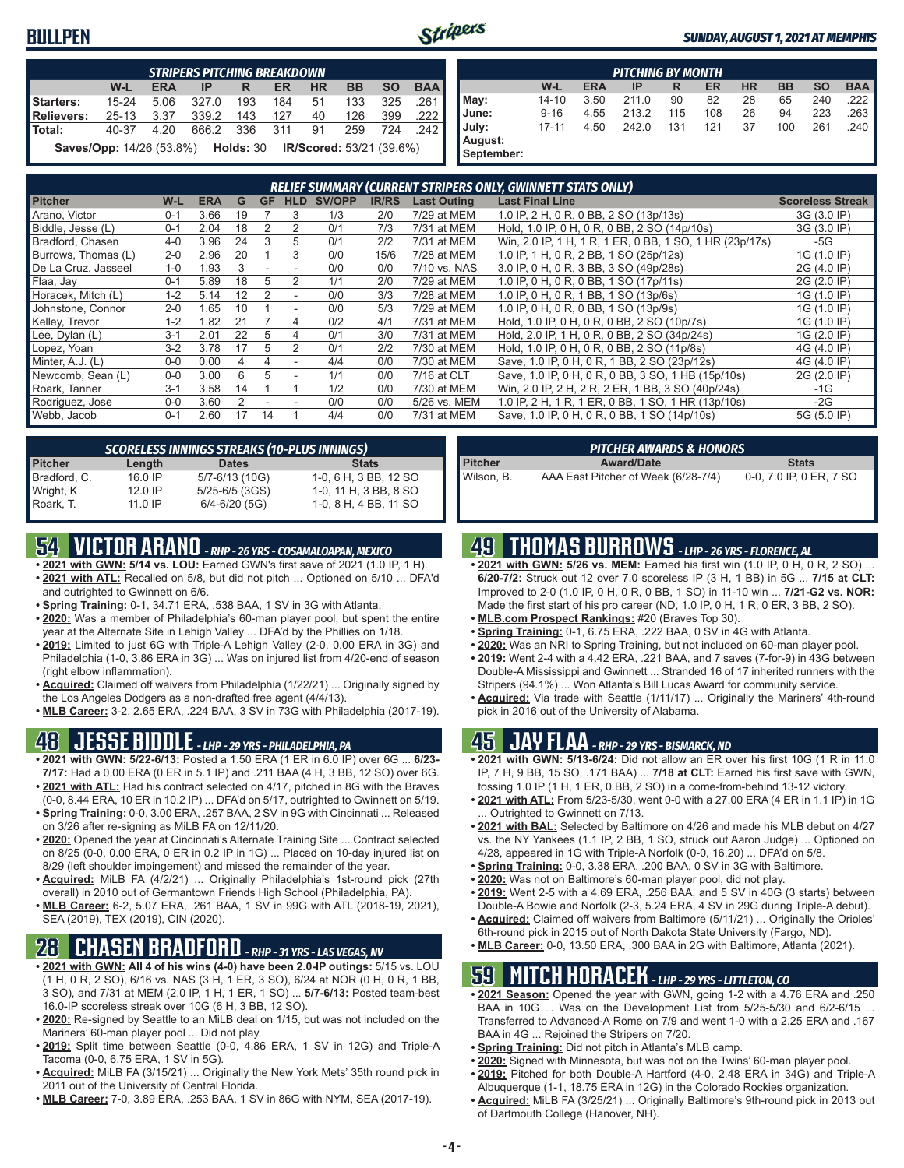### **BULLPEN**



#### *SUNDAY, AUGUST 1, 2021 AT MEMPHIS*

|                   | <b>STRIPERS PITCHING BREAKDOWN</b>                                        |            |       |           |           |           |           |           |            |  |  |  |
|-------------------|---------------------------------------------------------------------------|------------|-------|-----------|-----------|-----------|-----------|-----------|------------|--|--|--|
|                   | W-L                                                                       | <b>ERA</b> | IP    | R         | <b>ER</b> | <b>HR</b> | <b>BB</b> | <b>SO</b> | <b>BAA</b> |  |  |  |
| Starters:         | $15 - 24$                                                                 | 5.06       | 327.0 | 193       | 184       | 51        | 133       | 325       | .261       |  |  |  |
| <b>Relievers:</b> | $25 - 13$                                                                 | 3.37       | 339.2 | 143       | 127       | 40        | 126       | 399       | .222       |  |  |  |
| Total:            | 40-37                                                                     | 4.20       |       | 666.2 336 | 311       | 91        | 259       | 724       | 242        |  |  |  |
|                   | <b>Saves/Opp:</b> 14/26 (53.8%) <b>Holds: 30 IR/Scored: 53/21 (39.6%)</b> |            |       |           |           |           |           |           |            |  |  |  |

|                                | <b>PITCHING BY MONTH</b> |            |       |     |           |           |           |           |            |  |  |  |  |
|--------------------------------|--------------------------|------------|-------|-----|-----------|-----------|-----------|-----------|------------|--|--|--|--|
|                                | W-L                      | <b>ERA</b> | IP    | R   | <b>ER</b> | <b>HR</b> | <b>BB</b> | <b>SO</b> | <b>BAA</b> |  |  |  |  |
| May:                           | $14 - 10$                | 3.50       | 211.0 | 90  | 82        | 28        | 65        | 240       | 222        |  |  |  |  |
| June:                          | $9 - 16$                 | 4.55       | 213.2 | 115 | 108       | 26        | 94        | 223       | 263        |  |  |  |  |
| July:<br>August:<br>September: | $17 - 11$                | 4.50       | 242.0 | 131 | 121       | 37        | 100       | 261       | .240       |  |  |  |  |

|                     |         |            |    |           |                |        |              |                    | RELIEF SUMMARY (CURRENT STRIPERS ONLY, GWINNETT STATS ONLY) |                         |
|---------------------|---------|------------|----|-----------|----------------|--------|--------------|--------------------|-------------------------------------------------------------|-------------------------|
| <b>Pitcher</b>      | W-L     | <b>ERA</b> | G  | <b>GF</b> | <b>HLD</b>     | SV/OPP | <b>IR/RS</b> | <b>Last Outing</b> | <b>Last Final Line</b>                                      | <b>Scoreless Streak</b> |
| Arano, Victor       | $0 - 1$ | 3.66       | 19 |           | 3              | 1/3    | 2/0          | 7/29 at MEM        | 1.0 IP, 2 H, 0 R, 0 BB, 2 SO (13p/13s)                      | 3G (3.0 IP)             |
| Biddle, Jesse (L)   | $0 - 1$ | 2.04       | 18 |           |                | 0/1    | 7/3          | 7/31 at MEM        | Hold, 1.0 IP, 0 H, 0 R, 0 BB, 2 SO (14p/10s)                | 3G (3.0 IP)             |
| Bradford, Chasen    | $4 - 0$ | 3.96       | 24 |           | 5              | 0/1    | 2/2          | 7/31 at MEM        | Win, 2.0 IP, 1 H, 1 R, 1 ER, 0 BB, 1 SO, 1 HR (23p/17s)     | -5G                     |
| Burrows, Thomas (L) | $2 - 0$ | 2.96       | 20 |           |                | 0/0    | 15/6         | 7/28 at MEM        | 1.0 IP, 1 H, 0 R, 2 BB, 1 SO (25p/12s)                      | 1G (1.0 IP)             |
| De La Cruz, Jasseel | $1 - 0$ | 1.93       |    |           |                | 0/0    | 0/0          | 7/10 vs. NAS       | 3.0 IP, 0 H, 0 R, 3 BB, 3 SO (49p/28s)                      | 2G (4.0 IP)             |
| Flaa, Jay           | $0 - 1$ | 5.89       | 18 | 5         |                | 1/1    | 2/0          | 7/29 at MEM        | 1.0 IP, 0 H, 0 R, 0 BB, 1 SO (17p/11s)                      | 2G (2.0 IP)             |
| Horacek, Mitch (L)  | $1 - 2$ | 5.14       | 12 |           |                | 0/0    | 3/3          | 7/28 at MEM        | 1.0 IP, 0 H, 0 R, 1 BB, 1 SO (13p/6s)                       | 1G (1.0 IP)             |
| Johnstone, Connor   | $2 - 0$ | 1.65       | 10 |           |                | 0/0    | 5/3          | 7/29 at MEM        | 1.0 IP, 0 H, 0 R, 0 BB, 1 SO (13p/9s)                       | 1G (1.0 IP)             |
| Kelley, Trevor      | $1 - 2$ | 1.82       |    |           | 4              | 0/2    | 4/1          | 7/31 at MEM        | Hold, 1.0 IP, 0 H, 0 R, 0 BB, 2 SO (10p/7s)                 | 1G (1.0 IP)             |
| Lee, Dylan (L)      | $3 - 1$ | 2.01       | 22 | 5         | 4              | 0/1    | 3/0          | 7/31 at MEM        | Hold, 2.0 IP, 1 H, 0 R, 0 BB, 2 SO (34p/24s)                | 1G (2.0 IP)             |
| Lopez, Yoan         | $3-2$   | 3.78       |    | 5         | $\mathfrak{p}$ | 0/1    | 2/2          | 7/30 at MEM        | Hold, 1.0 IP, 0 H, 0 R, 0 BB, 2 SO (11p/8s)                 | 4G (4.0 IP)             |
| Minter, A.J. (L)    | $0 - 0$ | 0.00       |    | 4         | ٠              | 4/4    | 0/0          | 7/30 at MEM        | Save, 1.0 IP, 0 H, 0 R, 1 BB, 2 SO (23p/12s)                | 4G (4.0 IP)             |
| Newcomb, Sean (L)   | $0 - 0$ | 3.00       | ĥ  | 5         |                | 1/1    | 0/0          | 7/16 at CLT        | Save, 1.0 IP, 0 H, 0 R, 0 BB, 3 SO, 1 HB (15p/10s)          | 2G (2.0 IP)             |
| Roark, Tanner       | $3 - 1$ | 3.58       | 14 |           |                | 1/2    | 0/0          | 7/30 at MEM        | Win, 2.0 IP, 2 H, 2 R, 2 ER, 1 BB, 3 SO (40p/24s)           | $-1G$                   |
| Rodriguez, Jose     | $0 - 0$ | 3.60       |    |           |                | 0/0    | 0/0          | 5/26 vs. MEM       | 1.0 IP, 2 H, 1 R, 1 ER, 0 BB, 1 SO, 1 HR (13p/10s)          | $-2G$                   |
| Webb, Jacob         | $0 - 1$ | 2.60       |    | 14        |                | 4/4    | 0/0          | 7/31 at MEM        | Save, 1.0 IP, 0 H, 0 R, 0 BB, 1 SO (14p/10s)                | 5G (5.0 IP)             |

| <b>SCORELESS INNINGS STREAKS (10-PLUS INNINGS)</b> |           |                    |                       |  |  |  |  |  |  |
|----------------------------------------------------|-----------|--------------------|-----------------------|--|--|--|--|--|--|
| <b>Pitcher</b>                                     | Length    | <b>Dates</b>       | <b>Stats</b>          |  |  |  |  |  |  |
| Bradford, C.                                       | 16.0 IP   | 5/7-6/13 (10G)     | 1-0, 6 H, 3 BB, 12 SO |  |  |  |  |  |  |
| Wright, K                                          | $12.0$ IP | $5/25 - 6/5$ (3GS) | 1-0, 11 H, 3 BB, 8 SO |  |  |  |  |  |  |
| Roark, T.                                          | 11.0 IP   | $6/4 - 6/20$ (5G)  | 1-0, 8 H, 4 BB, 11 SO |  |  |  |  |  |  |

## **54 VICTOR ARANO** *- RHP - 26 YRS - COSAMALOAPAN, MEXICO*

- **• 2021 with GWN: 5/14 vs. LOU:** Earned GWN's first save of 2021 (1.0 IP, 1 H). **• 2021 with ATL:** Recalled on 5/8, but did not pitch ... Optioned on 5/10 ... DFA'd
- and outrighted to Gwinnett on 6/6.
- **• Spring Training:** 0-1, 34.71 ERA, .538 BAA, 1 SV in 3G with Atlanta. **• 2020:** Was a member of Philadelphia's 60-man player pool, but spent the entire year at the Alternate Site in Lehigh Valley ... DFA'd by the Phillies on 1/18.
- **• 2019:** Limited to just 6G with Triple-A Lehigh Valley (2-0, 0.00 ERA in 3G) and Philadelphia (1-0, 3.86 ERA in 3G) ... Was on injured list from 4/20-end of season (right elbow inflammation).
- **• Acquired:** Claimed off waivers from Philadelphia (1/22/21) ... Originally signed by the Los Angeles Dodgers as a non-drafted free agent (4/4/13).
- **• MLB Career:** 3-2, 2.65 ERA, .224 BAA, 3 SV in 73G with Philadelphia (2017-19).

## **48 JESSE BIDDLE** *- LHP - 29 YRS - PHILADELPHIA, PA*

- **• 2021 with GWN: 5/22-6/13:** Posted a 1.50 ERA (1 ER in 6.0 IP) over 6G ... **6/23- 7/17:** Had a 0.00 ERA (0 ER in 5.1 IP) and .211 BAA (4 H, 3 BB, 12 SO) over 6G.
- **• 2021 with ATL:** Had his contract selected on 4/17, pitched in 8G with the Braves (0-0, 8.44 ERA, 10 ER in 10.2 IP) ... DFA'd on 5/17, outrighted to Gwinnett on 5/19.
- **• Spring Training:** 0-0, 3.00 ERA, .257 BAA, 2 SV in 9G with Cincinnati ... Released on 3/26 after re-signing as MiLB FA on 12/11/20.
- **• 2020:** Opened the year at Cincinnati's Alternate Training Site ... Contract selected on 8/25 (0-0, 0.00 ERA, 0 ER in 0.2 IP in 1G) ... Placed on 10-day injured list on 8/29 (left shoulder impingement) and missed the remainder of the year.
- **• Acquired:** MiLB FA (4/2/21) ... Originally Philadelphia's 1st-round pick (27th overall) in 2010 out of Germantown Friends High School (Philadelphia, PA).
- **• MLB Career:** 6-2, 5.07 ERA, .261 BAA, 1 SV in 99G with ATL (2018-19, 2021), SEA (2019), TEX (2019), CIN (2020).

### **28 CHASEN BRADFORD** *- RHP - 31 YRS - LAS VEGAS, NV*

- **• 2021 with GWN: All 4 of his wins (4-0) have been 2.0-IP outings:** 5/15 vs. LOU (1 H, 0 R, 2 SO), 6/16 vs. NAS (3 H, 1 ER, 3 SO), 6/24 at NOR (0 H, 0 R, 1 BB, 3 SO), and 7/31 at MEM (2.0 IP, 1 H, 1 ER, 1 SO) ... **5/7-6/13:** Posted team-best 16.0-IP scoreless streak over 10G (6 H, 3 BB, 12 SO).
- **• 2020:** Re-signed by Seattle to an MiLB deal on 1/15, but was not included on the Mariners' 60-man player pool ... Did not play.
- **• 2019:** Split time between Seattle (0-0, 4.86 ERA, 1 SV in 12G) and Triple-A Tacoma (0-0, 6.75 ERA, 1 SV in 5G).
- **• Acquired:** MiLB FA (3/15/21) ... Originally the New York Mets' 35th round pick in 2011 out of the University of Central Florida.
- **• MLB Career:** 7-0, 3.89 ERA, .253 BAA, 1 SV in 86G with NYM, SEA (2017-19).

|                | ' PITCHER AWARDS & HONORS .         |                         |
|----------------|-------------------------------------|-------------------------|
| <b>Pitcher</b> | <b>Award/Date</b>                   | <b>Stats</b>            |
| Wilson. B.     | AAA East Pitcher of Week (6/28-7/4) | 0-0, 7.0 IP, 0 ER, 7 SO |

## **49 THOMAS BURROWS** *- LHP - 26 YRS - FLORENCE, AL*

- 2021 with GWN: 5/26 vs. MEM: Earned his first win (1.0 IP, 0 H, 0 R, 2 SO) **6/20-7/2:** Struck out 12 over 7.0 scoreless IP (3 H, 1 BB) in 5G ... **7/15 at CLT:** Improved to 2-0 (1.0 IP, 0 H, 0 R, 0 BB, 1 SO) in 11-10 win ... **7/21-G2 vs. NOR:** Made the first start of his pro career (ND, 1.0 IP, 0 H, 1 R, 0 ER, 3 BB, 2 SO).
- **• MLB.com Prospect Rankings:** #20 (Braves Top 30).
- **• Spring Training:** 0-1, 6.75 ERA, .222 BAA, 0 SV in 4G with Atlanta.
- **• 2020:** Was an NRI to Spring Training, but not included on 60-man player pool.
- **• 2019:** Went 2-4 with a 4.42 ERA, .221 BAA, and 7 saves (7-for-9) in 43G between Double-A Mississippi and Gwinnett ... Stranded 16 of 17 inherited runners with the Stripers (94.1%) ... Won Atlanta's Bill Lucas Award for community service.
- **• Acquired:** Via trade with Seattle (1/11/17) ... Originally the Mariners' 4th-round pick in 2016 out of the University of Alabama.

### **45 JAY FLAA** *- RHP - 29 YRS - BISMARCK, ND*

- **• 2021 with GWN: 5/13-6/24:** Did not allow an ER over his first 10G (1 R in 11.0 IP, 7 H, 9 BB, 15 SO, .171 BAA) ... **7/18 at CLT:** Earned his first save with GWN, tossing 1.0 IP (1 H, 1 ER, 0 BB, 2 SO) in a come-from-behind 13-12 victory.
- **• 2021 with ATL:** From 5/23-5/30, went 0-0 with a 27.00 ERA (4 ER in 1.1 IP) in 1G ... Outrighted to Gwinnett on 7/13.
- **• 2021 with BAL:** Selected by Baltimore on 4/26 and made his MLB debut on 4/27 vs. the NY Yankees (1.1 IP, 2 BB, 1 SO, struck out Aaron Judge) ... Optioned on 4/28, appeared in 1G with Triple-A Norfolk (0-0, 16.20) ... DFA'd on 5/8.
- **• Spring Training:** 0-0, 3.38 ERA, .200 BAA, 0 SV in 3G with Baltimore.
- **• 2020:** Was not on Baltimore's 60-man player pool, did not play.
- **• 2019:** Went 2-5 with a 4.69 ERA, .256 BAA, and 5 SV in 40G (3 starts) between Double-A Bowie and Norfolk (2-3, 5.24 ERA, 4 SV in 29G during Triple-A debut).
- **• Acquired:** Claimed off waivers from Baltimore (5/11/21) ... Originally the Orioles' 6th-round pick in 2015 out of North Dakota State University (Fargo, ND).
- **• MLB Career:** 0-0, 13.50 ERA, .300 BAA in 2G with Baltimore, Atlanta (2021).

## **59 MITCH HORACEK** *- LHP - 29 YRS - LITTLETON, CO*

- **• 2021 Season:** Opened the year with GWN, going 1-2 with a 4.76 ERA and .250 BAA in 10G ... Was on the Development List from 5/25-5/30 and 6/2-6/15 ... Transferred to Advanced-A Rome on 7/9 and went 1-0 with a 2.25 ERA and .167 BAA in 4G ... Rejoined the Stripers on 7/20.
- **• Spring Training:** Did not pitch in Atlanta's MLB camp.
- **• 2020:** Signed with Minnesota, but was not on the Twins' 60-man player pool.
- **• 2019:** Pitched for both Double-A Hartford (4-0, 2.48 ERA in 34G) and Triple-A Albuquerque (1-1, 18.75 ERA in 12G) in the Colorado Rockies organization.
- **• Acquired:** MiLB FA (3/25/21) ... Originally Baltimore's 9th-round pick in 2013 out of Dartmouth College (Hanover, NH).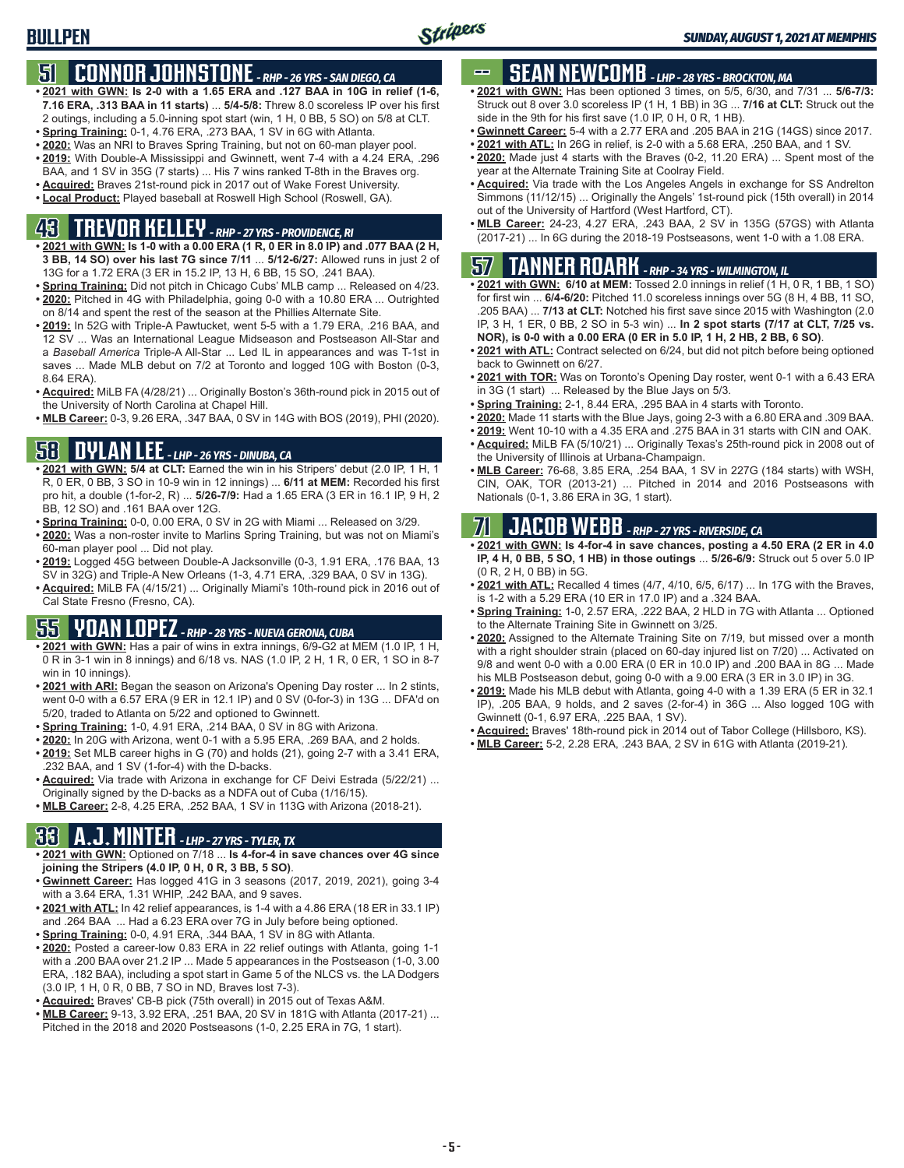## **51 CONNOR JOHNSTONE** *- RHP - 26 YRS - SAN DIEGO, CA*

- **• 2021 with GWN: Is 2-0 with a 1.65 ERA and .127 BAA in 10G in relief (1-6, 7.16 ERA, .313 BAA in 11 starts)** ... **5/4-5/8:** Threw 8.0 scoreless IP over his first 2 outings, including a 5.0-inning spot start (win, 1 H, 0 BB, 5 SO) on 5/8 at CLT.
- **• Spring Training:** 0-1, 4.76 ERA, .273 BAA, 1 SV in 6G with Atlanta.
- **• 2020:** Was an NRI to Braves Spring Training, but not on 60-man player pool. **• 2019:** With Double-A Mississippi and Gwinnett, went 7-4 with a 4.24 ERA, .296
- BAA, and 1 SV in 35G (7 starts) ... His 7 wins ranked T-8th in the Braves org.
- **• Acquired:** Braves 21st-round pick in 2017 out of Wake Forest University.
- **• Local Product:** Played baseball at Roswell High School (Roswell, GA).

## **43 TREVOR KELLEY** *- RHP - 27 YRS - PROVIDENCE, RI*

- **• 2021 with GWN: Is 1-0 with a 0.00 ERA (1 R, 0 ER in 8.0 IP) and .077 BAA (2 H, 3 BB, 14 SO) over his last 7G since 7/11** ... **5/12-6/27:** Allowed runs in just 2 of 13G for a 1.72 ERA (3 ER in 15.2 IP, 13 H, 6 BB, 15 SO, .241 BAA).
- **• Spring Training:** Did not pitch in Chicago Cubs' MLB camp ... Released on 4/23. **• 2020:** Pitched in 4G with Philadelphia, going 0-0 with a 10.80 ERA ... Outrighted on 8/14 and spent the rest of the season at the Phillies Alternate Site.
- **• 2019:** In 52G with Triple-A Pawtucket, went 5-5 with a 1.79 ERA, .216 BAA, and 12 SV ... Was an International League Midseason and Postseason All-Star and a *Baseball America* Triple-A All-Star ... Led IL in appearances and was T-1st in saves ... Made MLB debut on 7/2 at Toronto and logged 10G with Boston (0-3, 8.64 ERA).
- **• Acquired:** MiLB FA (4/28/21) ... Originally Boston's 36th-round pick in 2015 out of the University of North Carolina at Chapel Hill.
- **• MLB Career:** 0-3, 9.26 ERA, .347 BAA, 0 SV in 14G with BOS (2019), PHI (2020).

### **58 DYLAN LEE** *- LHP - 26 YRS - DINUBA, CA*

- **• 2021 with GWN: 5/4 at CLT:** Earned the win in his Stripers' debut (2.0 IP, 1 H, 1 R, 0 ER, 0 BB, 3 SO in 10-9 win in 12 innings) ... **6/11 at MEM:** Recorded his first pro hit, a double (1-for-2, R) ... **5/26-7/9:** Had a 1.65 ERA (3 ER in 16.1 IP, 9 H, 2 BB, 12 SO) and .161 BAA over 12G.
- **• Spring Training:** 0-0, 0.00 ERA, 0 SV in 2G with Miami ... Released on 3/29.
- **• 2020:** Was a non-roster invite to Marlins Spring Training, but was not on Miami's 60-man player pool ... Did not play.
- **• 2019:** Logged 45G between Double-A Jacksonville (0-3, 1.91 ERA, .176 BAA, 13 SV in 32G) and Triple-A New Orleans (1-3, 4.71 ERA, .329 BAA, 0 SV in 13G).
- **• Acquired:** MiLB FA (4/15/21) ... Originally Miami's 10th-round pick in 2016 out of Cal State Fresno (Fresno, CA).

## **55 YOAN LOPEZ** *- RHP - 28 YRS - NUEVA GERONA, CUBA*

- **• 2021 with GWN:** Has a pair of wins in extra innings, 6/9-G2 at MEM (1.0 IP, 1 H, 0 R in 3-1 win in 8 innings) and 6/18 vs. NAS (1.0 IP, 2 H, 1 R, 0 ER, 1 SO in 8-7 win in 10 innings).
- **• 2021 with ARI:** Began the season on Arizona's Opening Day roster ... In 2 stints, went 0-0 with a 6.57 ERA (9 ER in 12.1 IP) and 0 SV (0-for-3) in 13G ... DFA'd on 5/20, traded to Atlanta on 5/22 and optioned to Gwinnett.
- **• Spring Training:** 1-0, 4.91 ERA, .214 BAA, 0 SV in 8G with Arizona.
- **• 2020:** In 20G with Arizona, went 0-1 with a 5.95 ERA, .269 BAA, and 2 holds.
- **• 2019:** Set MLB career highs in G (70) and holds (21), going 2-7 with a 3.41 ERA, .232 BAA, and 1 SV (1-for-4) with the D-backs.
- **• Acquired:** Via trade with Arizona in exchange for CF Deivi Estrada (5/22/21) ... Originally signed by the D-backs as a NDFA out of Cuba (1/16/15).
- **• MLB Career:** 2-8, 4.25 ERA, .252 BAA, 1 SV in 113G with Arizona (2018-21).

### **33 A.J. MINTER** *- LHP - 27 YRS - TYLER, TX*

- **• 2021 with GWN:** Optioned on 7/18 ... **Is 4-for-4 in save chances over 4G since joining the Stripers (4.0 IP, 0 H, 0 R, 3 BB, 5 SO)**.
- **• Gwinnett Career:** Has logged 41G in 3 seasons (2017, 2019, 2021), going 3-4 with a 3.64 ERA, 1.31 WHIP, .242 BAA, and 9 saves.
- **• 2021 with ATL:** In 42 relief appearances, is 1-4 with a 4.86 ERA (18 ER in 33.1 IP) and .264 BAA ... Had a 6.23 ERA over 7G in July before being optioned.
- **• Spring Training:** 0-0, 4.91 ERA, .344 BAA, 1 SV in 8G with Atlanta.
- **• 2020:** Posted a career-low 0.83 ERA in 22 relief outings with Atlanta, going 1-1 with a .200 BAA over 21.2 IP ... Made 5 appearances in the Postseason (1-0, 3.00 ERA, .182 BAA), including a spot start in Game 5 of the NLCS vs. the LA Dodgers (3.0 IP, 1 H, 0 R, 0 BB, 7 SO in ND, Braves lost 7-3).
- **• Acquired:** Braves' CB-B pick (75th overall) in 2015 out of Texas A&M.
- **• MLB Career:** 9-13, 3.92 ERA, .251 BAA, 20 SV in 181G with Atlanta (2017-21) ... Pitched in the 2018 and 2020 Postseasons (1-0, 2.25 ERA in 7G, 1 start).

## **SEAN NEWCOMB** - LHP - 28 YRS - BROCKTON, MA

- **• 2021 with GWN:** Has been optioned 3 times, on 5/5, 6/30, and 7/31 ... **5/6-7/3:** Struck out 8 over 3.0 scoreless IP (1 H, 1 BB) in 3G ... **7/16 at CLT:** Struck out the side in the 9th for his first save (1.0 IP, 0 H, 0 R, 1 HB).
- **• Gwinnett Career:** 5-4 with a 2.77 ERA and .205 BAA in 21G (14GS) since 2017.
- **• 2021 with ATL:** In 26G in relief, is 2-0 with a 5.68 ERA, .250 BAA, and 1 SV.
- **• 2020:** Made just 4 starts with the Braves (0-2, 11.20 ERA) ... Spent most of the year at the Alternate Training Site at Coolray Field.
- **• Acquired:** Via trade with the Los Angeles Angels in exchange for SS Andrelton Simmons (11/12/15) ... Originally the Angels' 1st-round pick (15th overall) in 2014 out of the University of Hartford (West Hartford, CT).
- **• MLB Career:** 24-23, 4.27 ERA, .243 BAA, 2 SV in 135G (57GS) with Atlanta (2017-21) ... In 6G during the 2018-19 Postseasons, went 1-0 with a 1.08 ERA.

## **57 TANNER ROARK** *- RHP - 34 YRS - WILMINGTON, IL*

- **• 2021 with GWN: 6/10 at MEM:** Tossed 2.0 innings in relief (1 H, 0 R, 1 BB, 1 SO) for first win ... **6/4-6/20:** Pitched 11.0 scoreless innings over 5G (8 H, 4 BB, 11 SO, .205 BAA) ... **7/13 at CLT:** Notched his first save since 2015 with Washington (2.0 IP, 3 H, 1 ER, 0 BB, 2 SO in 5-3 win) ... **In 2 spot starts (7/17 at CLT, 7/25 vs. NOR), is 0-0 with a 0.00 ERA (0 ER in 5.0 IP, 1 H, 2 HB, 2 BB, 6 SO)**.
- **• 2021 with ATL:** Contract selected on 6/24, but did not pitch before being optioned back to Gwinnett on 6/27.
- **• 2021 with TOR:** Was on Toronto's Opening Day roster, went 0-1 with a 6.43 ERA in 3G (1 start) ... Released by the Blue Jays on 5/3.
- **• Spring Training:** 2-1, 8.44 ERA, .295 BAA in 4 starts with Toronto.
- **• 2020:** Made 11 starts with the Blue Jays, going 2-3 with a 6.80 ERA and .309 BAA.
- **• 2019:** Went 10-10 with a 4.35 ERA and .275 BAA in 31 starts with CIN and OAK.
- **• Acquired:** MiLB FA (5/10/21) ... Originally Texas's 25th-round pick in 2008 out of the University of Illinois at Urbana-Champaign.
- **• MLB Career:** 76-68, 3.85 ERA, .254 BAA, 1 SV in 227G (184 starts) with WSH, CIN, OAK, TOR (2013-21) ... Pitched in 2014 and 2016 Postseasons with Nationals (0-1, 3.86 ERA in 3G, 1 start).

## **71 JACOB WEBB** *- RHP - 27 YRS - RIVERSIDE, CA*

- **• 2021 with GWN: Is 4-for-4 in save chances, posting a 4.50 ERA (2 ER in 4.0 IP, 4 H, 0 BB, 5 SO, 1 HB) in those outings** ... **5/26-6/9:** Struck out 5 over 5.0 IP (0 R, 2 H, 0 BB) in 5G.
- **• 2021 with ATL:** Recalled 4 times (4/7, 4/10, 6/5, 6/17) ... In 17G with the Braves, is 1-2 with a 5.29 ERA (10 ER in 17.0 IP) and a .324 BAA.
- **• Spring Training:** 1-0, 2.57 ERA, .222 BAA, 2 HLD in 7G with Atlanta ... Optioned to the Alternate Training Site in Gwinnett on 3/25.
- **• 2020:** Assigned to the Alternate Training Site on 7/19, but missed over a month with a right shoulder strain (placed on 60-day injured list on 7/20) ... Activated on 9/8 and went 0-0 with a 0.00 ERA (0 ER in 10.0 IP) and .200 BAA in 8G ... Made his MLB Postseason debut, going 0-0 with a 9.00 ERA (3 ER in 3.0 IP) in 3G.
- **• 2019:** Made his MLB debut with Atlanta, going 4-0 with a 1.39 ERA (5 ER in 32.1 IP), .205 BAA, 9 holds, and 2 saves (2-for-4) in 36G ... Also logged 10G with Gwinnett (0-1, 6.97 ERA, .225 BAA, 1 SV).
- **• Acquired:** Braves' 18th-round pick in 2014 out of Tabor College (Hillsboro, KS).
- **• MLB Career:** 5-2, 2.28 ERA, .243 BAA, 2 SV in 61G with Atlanta (2019-21).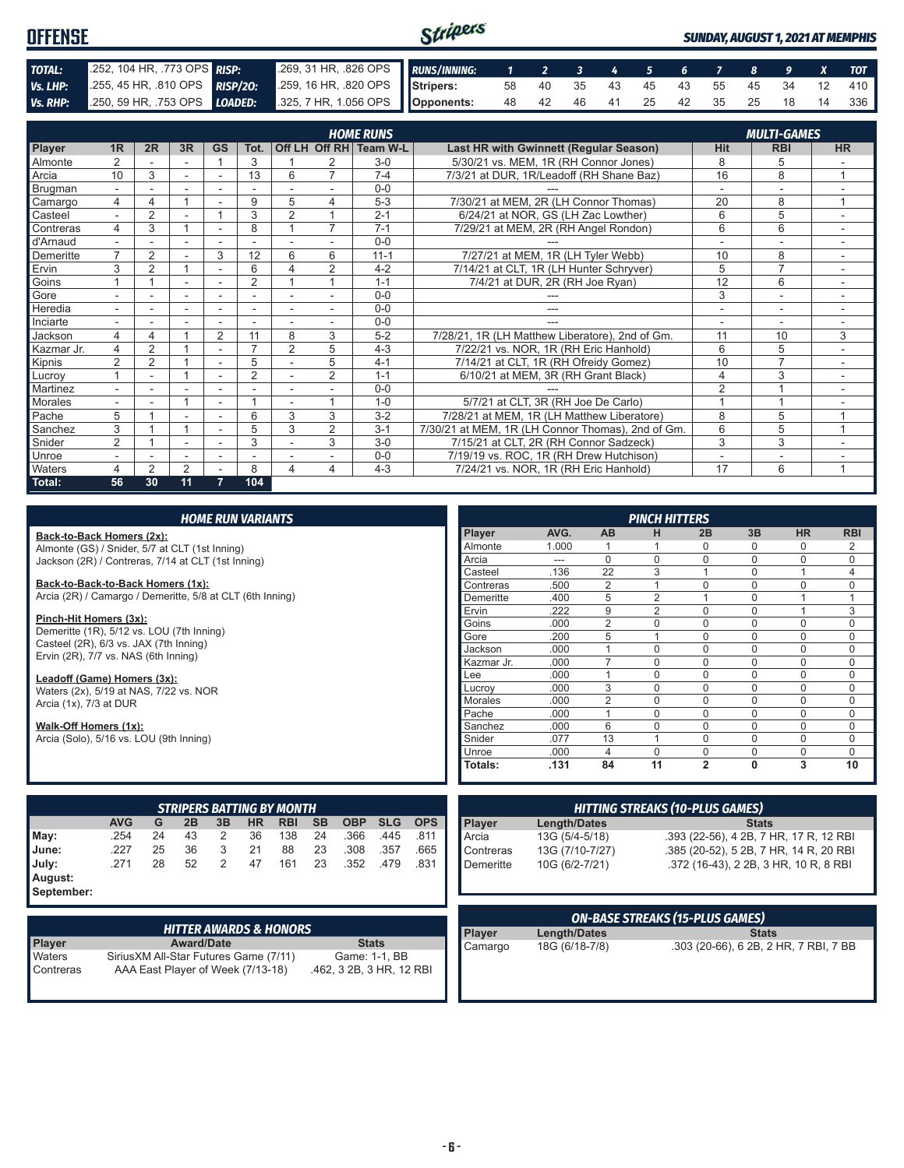#### Stripers **OFFENSE** *SUNDAY, AUGUST 1, 2021 AT MEMPHIS TOTAL:* .252, 104 HR, .773 OPS *RISP:* .269, 31 HR, .826 OPS *RUNS/INNING: 1 2 3 4 5 6 7 8 9 X TOT Vs. LHP:* .255, 45 HR, .810 OPS *RISP/2O:* .259, 16 HR, .820 OPS **Stripers:** 58 40 35 43 45 43 55 45 34 12 410 *Vs. RHP:* .250, 59 HR, .753 OPS *LOADED:* .325, 7 HR, 1.056 OPS **Opponents:** 48 42 46 41 25 42 35 25 18 14 336

|                | <b>HOME RUNS</b><br><b>MULTI-GAMES</b> |                |                |                          |                |                |                |                        |                                                   |                          |                |                          |
|----------------|----------------------------------------|----------------|----------------|--------------------------|----------------|----------------|----------------|------------------------|---------------------------------------------------|--------------------------|----------------|--------------------------|
|                | 1 <sub>R</sub>                         | 2R             |                | <b>GS</b>                | Tot.           |                |                | Off LH Off RH Team W-L |                                                   |                          |                | <b>HR</b>                |
| Player         |                                        |                | 3R             |                          |                |                |                |                        | Last HR with Gwinnett (Regular Season)            | <b>Hit</b>               | <b>RBI</b>     |                          |
| <b>Almonte</b> |                                        |                | ۰              |                          | 3              |                | $\overline{ }$ | $3-0$                  | 5/30/21 vs. MEM, 1R (RH Connor Jones)             | 8                        | 5              |                          |
| Arcia          | 10                                     | 3              |                |                          | 13             | 6              |                | $7 - 4$                | 7/3/21 at DUR, 1R/Leadoff (RH Shane Baz)          | 16                       | 8              | $\overline{A}$           |
| Brugman        | $\overline{\phantom{0}}$               |                |                |                          |                |                |                | $0 - 0$                |                                                   | $\overline{\phantom{a}}$ |                |                          |
| Camargo        | 4                                      | 4              |                |                          | 9              | 5              | 4              | $5 - 3$                | 7/30/21 at MEM, 2R (LH Connor Thomas)             | 20                       | 8              | 1                        |
| Casteel        |                                        | $\overline{2}$ |                |                          | 3              | $\overline{2}$ |                | $2 - 1$                | 6/24/21 at NOR, GS (LH Zac Lowther)               | 6                        | 5              |                          |
| Contreras      | 4                                      | 3              |                |                          | 8              |                | $\overline{7}$ | $7 - 1$                | 7/29/21 at MEM, 2R (RH Angel Rondon)              | 6                        | 6              |                          |
| d'Arnaud       | $\overline{\phantom{0}}$               | ٠              | ٠              | $\overline{\phantom{a}}$ | ٠              |                |                | $0 - 0$                |                                                   | $\overline{\phantom{a}}$ | ۰              | $\overline{\phantom{a}}$ |
| Demeritte      | $\overline{\phantom{a}}$               | $\overline{2}$ |                | 3                        | 12             | 6              | 6              | $11 - 1$               | 7/27/21 at MEM, 1R (LH Tyler Webb)                | 10                       | 8              |                          |
| Ervin          | 3                                      | 2              |                | ٠                        | 6              | 4              | 2              | $4 - 2$                | 7/14/21 at CLT, 1R (LH Hunter Schryver)           | 5                        | $\overline{7}$ |                          |
| Goins          |                                        |                | ٠              | $\overline{\phantom{a}}$ | $\overline{2}$ |                |                | $1 - 1$                | 7/4/21 at DUR, 2R (RH Joe Ryan)                   | 12                       | 6              | $\sim$                   |
| Gore           |                                        |                |                |                          |                |                |                | $0 - 0$                |                                                   | 3                        |                |                          |
| Heredia        |                                        |                |                |                          |                |                |                | $0 - 0$                |                                                   |                          | ۰              |                          |
| Inciarte       | $\blacksquare$                         |                |                |                          |                |                |                | $0 - 0$                |                                                   |                          | ٠              |                          |
| Jackson        | 4                                      | 4              |                | $\overline{2}$           | 11             | 8              | 3              | $5-2$                  | 7/28/21, 1R (LH Matthew Liberatore), 2nd of Gm.   | 11                       | 10             | 3                        |
| Kazmar Jr.     | 4                                      | 2              |                | ۰                        | $\overline{ }$ | $\overline{2}$ | 5              | $4 - 3$                | 7/22/21 vs. NOR, 1R (RH Eric Hanhold)             | 6                        | 5              |                          |
| Kipnis         | 2                                      | 2              |                | $\sim$                   | 5              |                | 5              | $4 - 1$                | 7/14/21 at CLT, 1R (RH Ofreidy Gomez)             | 10                       | 7              |                          |
| Lucrov         |                                        | ۰              |                | ٠                        | $\overline{2}$ |                | $\overline{2}$ | $1 - 1$                | 6/10/21 at MEM, 3R (RH Grant Black)               | 4                        | 3              |                          |
| Martinez       |                                        |                |                |                          |                |                |                | $0 - 0$                |                                                   | $\overline{2}$           |                |                          |
| Morales        |                                        |                |                | $\overline{\phantom{a}}$ |                |                |                | $1 - 0$                | 5/7/21 at CLT, 3R (RH Joe De Carlo)               |                          |                |                          |
| Pache          | 5                                      |                |                |                          | 6              | 3              | 3              | $3 - 2$                | 7/28/21 at MEM, 1R (LH Matthew Liberatore)        | 8                        | 5              |                          |
| Sanchez        | 3                                      |                |                |                          | 5              | 3              | 2              | $3 - 1$                | 7/30/21 at MEM, 1R (LH Connor Thomas), 2nd of Gm. | 6                        | 5              | $\overline{A}$           |
| Snider         | $\overline{2}$                         |                |                |                          | 3              |                | 3              | $3-0$                  | 7/15/21 at CLT, 2R (RH Connor Sadzeck)            | 3                        | 3              |                          |
| Unroe          |                                        |                |                |                          |                |                |                | $0 - 0$                | 7/19/19 vs. ROC, 1R (RH Drew Hutchison)           |                          |                |                          |
| <b>Waters</b>  |                                        | $\mathfrak{p}$ | $\overline{2}$ |                          | 8              | 4              | 4              | $4 - 3$                | 7/24/21 vs. NOR, 1R (RH Eric Hanhold)             | 17                       | 6              | $\overline{A}$           |
| Total:         | 56                                     | 30             | 11             | 7                        | 104            |                |                |                        |                                                   |                          |                |                          |

|                                                           |                                           |    |    |                | <b>HOME RUN VARIANTS</b> |                                  |           |            |            |            |            |                 |                | <b>PINCH HITTERS</b>                   |                                        |              |             |             |
|-----------------------------------------------------------|-------------------------------------------|----|----|----------------|--------------------------|----------------------------------|-----------|------------|------------|------------|------------|-----------------|----------------|----------------------------------------|----------------------------------------|--------------|-------------|-------------|
| Back-to-Back Homers (2x):                                 |                                           |    |    |                |                          |                                  |           |            |            |            | Player     | AVG.            | <b>AB</b>      | н                                      | 2B                                     | 3B           | <b>HR</b>   | <b>RBI</b>  |
| Almonte (GS) / Snider, 5/7 at CLT (1st Inning)            |                                           |    |    |                |                          |                                  |           |            |            |            | Almonte    | 1.000           |                |                                        | $\Omega$                               | 0            | 0           | 2           |
| Jackson (2R) / Contreras, 7/14 at CLT (1st Inning)        |                                           |    |    |                |                          |                                  |           |            |            |            | Arcia      | ---             | $\Omega$       | $\Omega$                               | $\Omega$                               | 0            | $\mathbf 0$ | $\mathbf 0$ |
|                                                           |                                           |    |    |                |                          |                                  |           |            |            |            | Casteel    | .136            | 22             | 3                                      |                                        | $\Omega$     |             | 4           |
| Back-to-Back-to-Back Homers (1x):                         |                                           |    |    |                |                          |                                  |           |            |            | Contreras  | .500       | 2               |                | $\Omega$                               | 0                                      | $\mathbf 0$  | $\mathbf 0$ |             |
| Arcia (2R) / Camargo / Demeritte, 5/8 at CLT (6th Inning) |                                           |    |    |                |                          |                                  |           |            |            | Demeritte  | .400       | 5               | $\overline{2}$ |                                        | $\Omega$                               |              |             |             |
|                                                           |                                           |    |    |                |                          |                                  |           |            |            |            | Ervin      | .222            | 9              | 2                                      | $\Omega$                               | 0            |             | 3           |
| Pinch-Hit Homers (3x):                                    |                                           |    |    |                |                          |                                  |           |            |            |            | Goins      | .000            | $\overline{2}$ | $\Omega$                               | $\Omega$                               | 0            | $\Omega$    | $\mathbf 0$ |
|                                                           | Demeritte (1R), 5/12 vs. LOU (7th Inning) |    |    |                |                          |                                  |           |            |            |            | Gore       | .200            | 5              |                                        | $\Omega$                               | 0            | $\Omega$    | $\mathbf 0$ |
| Casteel (2R), 6/3 vs. JAX (7th Inning)                    |                                           |    |    |                |                          |                                  |           |            |            |            | Jackson    | .000            |                | $\Omega$                               | $\Omega$                               | 0            | $\Omega$    | $\mathbf 0$ |
| Ervin (2R), 7/7 vs. NAS (6th Inning)                      |                                           |    |    |                |                          |                                  |           |            |            |            | Kazmar Jr. | .000            | $\overline{7}$ | $\Omega$                               | 0                                      | $\Omega$     | $\Omega$    | $\mathbf 0$ |
| Leadoff (Game) Homers (3x):                               |                                           |    |    |                |                          |                                  |           |            |            | Lee        | .000       |                 | $\Omega$       | $\Omega$                               | $\Omega$                               | $\Omega$     | $\mathbf 0$ |             |
|                                                           |                                           |    |    |                |                          |                                  |           |            |            |            | Lucrov     | .000            | 3              | $\Omega$                               | $\Omega$                               | $\Omega$     | $\Omega$    | $\mathbf 0$ |
|                                                           | Waters (2x), 5/19 at NAS, 7/22 vs. NOR    |    |    |                |                          |                                  |           |            |            |            | Morales    | .000            | 2              | $\Omega$                               | $\Omega$                               | 0            | $\mathbf 0$ | $\mathbf 0$ |
| Arcia (1x), 7/3 at DUR                                    |                                           |    |    |                |                          |                                  |           |            |            |            | Pache      | .000            |                | $\Omega$                               | $\Omega$                               | $\Omega$     | $\Omega$    | $\mathbf 0$ |
| Walk-Off Homers (1x):                                     |                                           |    |    |                |                          |                                  |           |            |            |            | Sanchez    | .000            | 6              | $\Omega$                               | $\Omega$                               | 0            | $\Omega$    | $\mathbf 0$ |
| Arcia (Solo), 5/16 vs. LOU (9th Inning)                   |                                           |    |    |                |                          |                                  |           |            |            |            | Snider     | .077            | 13             |                                        | $\Omega$                               | $\Omega$     | $\Omega$    | $\mathbf 0$ |
|                                                           |                                           |    |    |                |                          |                                  |           |            |            |            | Unroe      | .000            | 4              | $\Omega$                               | $\Omega$                               | 0            | $\mathbf 0$ | $\Omega$    |
|                                                           |                                           |    |    |                |                          |                                  |           |            |            |            | Totals:    | .131            | 84             | 11                                     | $\overline{2}$                         | $\mathbf{0}$ | 3           | 10          |
|                                                           |                                           |    |    |                |                          |                                  |           |            |            |            |            |                 |                |                                        |                                        |              |             |             |
|                                                           |                                           |    |    |                |                          |                                  |           |            |            |            |            |                 |                |                                        |                                        |              |             |             |
|                                                           |                                           |    |    |                |                          | <b>STRIPERS BATTING BY MONTH</b> |           |            |            |            |            |                 |                | <b>HITTING STREAKS (10-PLUS GAMES)</b> |                                        |              |             |             |
|                                                           | <b>AVG</b>                                | G  | 2B | 3B             | <b>HR</b>                | <b>RBI</b>                       | <b>SB</b> | <b>OBP</b> | <b>SLG</b> | <b>OPS</b> | Player     | Length/Dates    |                |                                        |                                        | <b>Stats</b> |             |             |
| May:                                                      | .254                                      | 24 | 43 | 2              | 36                       | 138                              | 24        | .366       | .445       | .811       | Arcia      | 13G (5/4-5/18)  |                |                                        | .393 (22-56), 4 2B, 7 HR, 17 R, 12 RBI |              |             |             |
| June:                                                     | .227                                      | 25 | 36 | 3              | 21                       | 88                               | 23        | .308       | .357       | .665       | Contreras  | 13G (7/10-7/27) |                |                                        | .385 (20-52), 5 2B, 7 HR, 14 R, 20 RBI |              |             |             |
|                                                           | .271                                      | 28 | 52 | $\overline{2}$ | 47                       | 161                              | 23        | .352       | .479       | .831       |            |                 |                |                                        |                                        |              |             |             |
| July:                                                     |                                           |    |    |                |                          |                                  |           |            |            |            | Demeritte  | 10G (6/2-7/21)  |                |                                        | .372 (16-43), 2 2B, 3 HR, 10 R, 8 RBI  |              |             |             |
| August:<br>Sontombor:                                     |                                           |    |    |                |                          |                                  |           |            |            |            |            |                 |                |                                        |                                        |              |             |             |

**September:**

|                     | HITTER AWARDS & HONORS <b>"</b>                                             |                                           |
|---------------------|-----------------------------------------------------------------------------|-------------------------------------------|
| <b>Player</b>       | <b>Award/Date</b>                                                           | <b>Stats</b>                              |
| Waters<br>Contreras | Sirius XM All-Star Futures Game (7/11)<br>AAA East Player of Week (7/13-18) | Game: 1-1, BB<br>.462, 3 2B, 3 HR, 12 RBI |

|         |                | <b>ON-BASE STREAKS (15-PLUS GAMES)</b> |
|---------|----------------|----------------------------------------|
| Player  | Length/Dates   | <b>Stats</b>                           |
| Camargo | 18G (6/18-7/8) | .303 (20-66), 6 2B, 2 HR, 7 RBI, 7 BB  |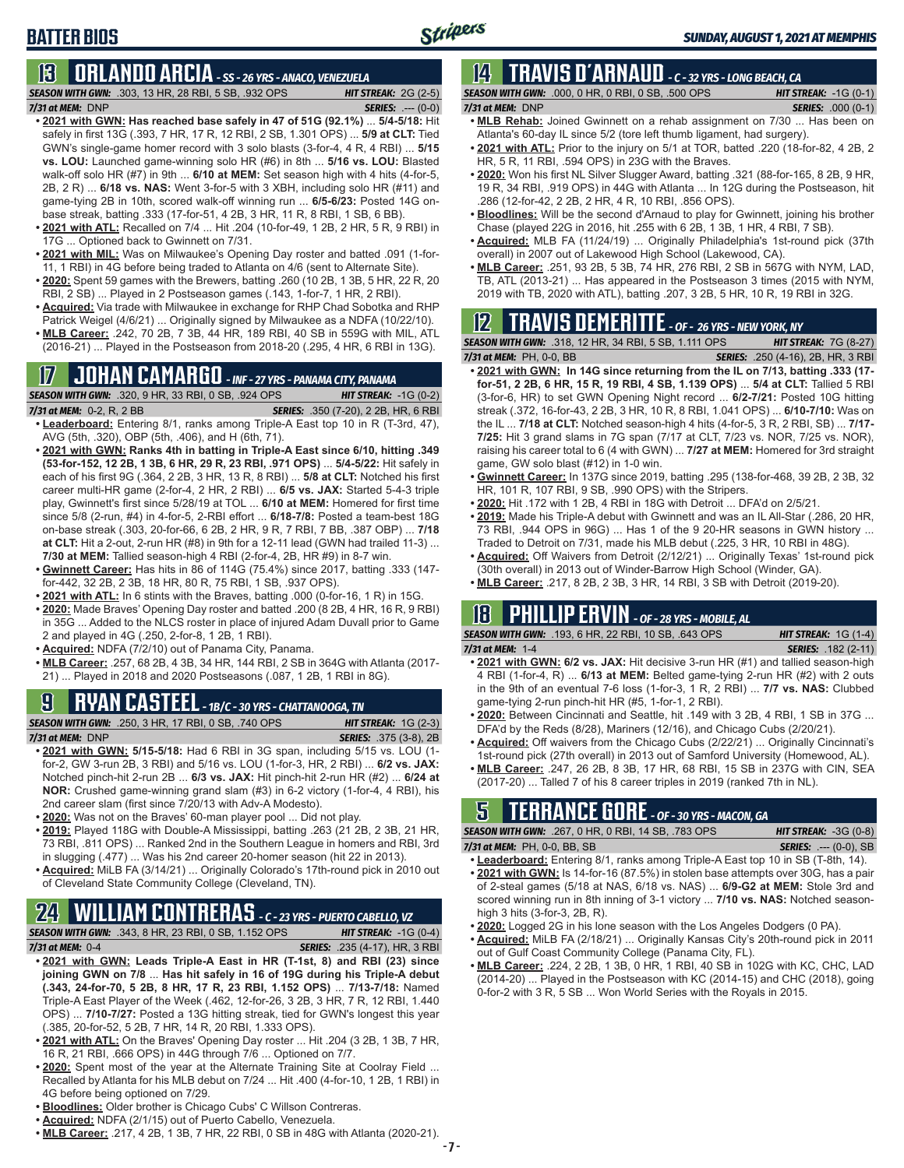### **13 ORLANDO ARCIA** *- SS - 26 YRS - ANACO, VENEZUELA*

*SEASON WITH GWN:*.303, 13 HR, 28 RBI, 5 SB, .932 OPS *HIT STREAK:* 2G (2-5) *7/31 at MEM:*DNP *SERIES:* .--- (0-0)

- **• 2021 with GWN: Has reached base safely in 47 of 51G (92.1%)** ... **5/4-5/18:** Hit safely in first 13G (.393, 7 HR, 17 R, 12 RBI, 2 SB, 1.301 OPS) ... **5/9 at CLT:** Tied GWN's single-game homer record with 3 solo blasts (3-for-4, 4 R, 4 RBI) ... **5/15 vs. LOU:** Launched game-winning solo HR (#6) in 8th ... **5/16 vs. LOU:** Blasted walk-off solo HR (#7) in 9th ... **6/10 at MEM:** Set season high with 4 hits (4-for-5, 2B, 2 R) ... **6/18 vs. NAS:** Went 3-for-5 with 3 XBH, including solo HR (#11) and game-tying 2B in 10th, scored walk-off winning run ... **6/5-6/23:** Posted 14G onbase streak, batting .333 (17-for-51, 4 2B, 3 HR, 11 R, 8 RBI, 1 SB, 6 BB).
- **• 2021 with ATL:** Recalled on 7/4 ... Hit .204 (10-for-49, 1 2B, 2 HR, 5 R, 9 RBI) in 17G ... Optioned back to Gwinnett on 7/31.
- **• 2021 with MIL:** Was on Milwaukee's Opening Day roster and batted .091 (1-for-11, 1 RBI) in 4G before being traded to Atlanta on 4/6 (sent to Alternate Site).
- **• 2020:** Spent 59 games with the Brewers, batting .260 (10 2B, 1 3B, 5 HR, 22 R, 20 RBI, 2 SB) ... Played in 2 Postseason games (.143, 1-for-7, 1 HR, 2 RBI).
- **• Acquired:** Via trade with Milwaukee in exchange for RHP Chad Sobotka and RHP Patrick Weigel (4/6/21) ... Originally signed by Milwaukee as a NDFA (10/22/10).
- **• MLB Career:** .242, 70 2B, 7 3B, 44 HR, 189 RBI, 40 SB in 559G with MIL, ATL (2016-21) ... Played in the Postseason from 2018-20 (.295, 4 HR, 6 RBI in 13G).

## **17 JOHAN CAMARGO** *- INF - 27 YRS - PANAMA CITY, PANAMA*

*SEASON WITH GWN:*.320, 9 HR, 33 RBI, 0 SB, .924 OPS *HIT STREAK:* -1G (0-2)

- *7/31 at MEM:* 0-2, R, 2 BB *SERIES:* .350 (7-20), 2 2B, HR, 6 RBI **• Leaderboard:** Entering 8/1, ranks among Triple-A East top 10 in R (T-3rd, 47), AVG (5th, .320), OBP (5th, .406), and H (6th, 71).
- **• 2021 with GWN: Ranks 4th in batting in Triple-A East since 6/10, hitting .349 (53-for-152, 12 2B, 1 3B, 6 HR, 29 R, 23 RBI, .971 OPS)** ... **5/4-5/22:** Hit safely in each of his first 9G (.364, 2 2B, 3 HR, 13 R, 8 RBI) ... **5/8 at CLT:** Notched his first career multi-HR game (2-for-4, 2 HR, 2 RBI) ... **6/5 vs. JAX:** Started 5-4-3 triple play, Gwinnett's first since 5/28/19 at TOL ... **6/10 at MEM:** Homered for first time since 5/8 (2-run, #4) in 4-for-5, 2-RBI effort ... **6/18-7/8:** Posted a team-best 18G on-base streak (.303, 20-for-66, 6 2B, 2 HR, 9 R, 7 RBI, 7 BB, .387 OBP) ... **7/18 at CLT:** Hit a 2-out, 2-run HR (#8) in 9th for a 12-11 lead (GWN had trailed 11-3) ... **7/30 at MEM:** Tallied season-high 4 RBI (2-for-4, 2B, HR #9) in 8-7 win.
- **• Gwinnett Career:** Has hits in 86 of 114G (75.4%) since 2017, batting .333 (147 for-442, 32 2B, 2 3B, 18 HR, 80 R, 75 RBI, 1 SB, .937 OPS).
- **• 2021 with ATL:** In 6 stints with the Braves, batting .000 (0-for-16, 1 R) in 15G.
- **• 2020:** Made Braves' Opening Day roster and batted .200 (8 2B, 4 HR, 16 R, 9 RBI) in 35G ... Added to the NLCS roster in place of injured Adam Duvall prior to Game 2 and played in 4G (.250, 2-for-8, 1 2B, 1 RBI).
- **• Acquired:** NDFA (7/2/10) out of Panama City, Panama.
- **• MLB Career:** .257, 68 2B, 4 3B, 34 HR, 144 RBI, 2 SB in 364G with Atlanta (2017- 21) ... Played in 2018 and 2020 Postseasons (.087, 1 2B, 1 RBI in 8G).

## **9 RYAN CASTEEL** *- 1B/C - 30 YRS - CHATTANOOGA, TN*

*SEASON WITH GWN:*.250, 3 HR, 17 RBI, 0 SB, .740 OPS *HIT STREAK:* 1G (2-3) *7/31 at MEM:*DNP *SERIES:* .375 (3-8), 2B

- **• 2021 with GWN: 5/15-5/18:** Had 6 RBI in 3G span, including 5/15 vs. LOU (1 for-2, GW 3-run 2B, 3 RBI) and 5/16 vs. LOU (1-for-3, HR, 2 RBI) ... **6/2 vs. JAX:** Notched pinch-hit 2-run 2B ... **6/3 vs. JAX:** Hit pinch-hit 2-run HR (#2) ... **6/24 at NOR:** Crushed game-winning grand slam (#3) in 6-2 victory (1-for-4, 4 RBI), his 2nd career slam (first since 7/20/13 with Adv-A Modesto).
- **• 2020:** Was not on the Braves' 60-man player pool ... Did not play.
- **• 2019:** Played 118G with Double-A Mississippi, batting .263 (21 2B, 2 3B, 21 HR, 73 RBI, .811 OPS) ... Ranked 2nd in the Southern League in homers and RBI, 3rd in slugging (.477) ... Was his 2nd career 20-homer season (hit 22 in 2013).
- **• Acquired:** MiLB FA (3/14/21) ... Originally Colorado's 17th-round pick in 2010 out of Cleveland State Community College (Cleveland, TN).

# **24 WILLIAM CONTRERAS** *- C - 23 YRS - PUERTO CABELLO, VZ*

- *SEASON WITH GWN:*.343, 8 HR, 23 RBI, 0 SB, 1.152 OPS *HIT STREAK:* -1G (0-4) *7/31 at MEM:* 0-4 *SERIES:* .235 (4-17), HR, 3 RBI
- **• 2021 with GWN: Leads Triple-A East in HR (T-1st, 8) and RBI (23) since joining GWN on 7/8** ... **Has hit safely in 16 of 19G during his Triple-A debut (.343, 24-for-70, 5 2B, 8 HR, 17 R, 23 RBI, 1.152 OPS)** ... **7/13-7/18:** Named Triple-A East Player of the Week (.462, 12-for-26, 3 2B, 3 HR, 7 R, 12 RBI, 1.440 OPS) ... **7/10-7/27:** Posted a 13G hitting streak, tied for GWN's longest this year (.385, 20-for-52, 5 2B, 7 HR, 14 R, 20 RBI, 1.333 OPS).
- **• 2021 with ATL:** On the Braves' Opening Day roster ... Hit .204 (3 2B, 1 3B, 7 HR, 16 R, 21 RBI, .666 OPS) in 44G through 7/6 ... Optioned on 7/7.
- **• 2020:** Spent most of the year at the Alternate Training Site at Coolray Field ... Recalled by Atlanta for his MLB debut on 7/24 ... Hit .400 (4-for-10, 1 2B, 1 RBI) in 4G before being optioned on 7/29.
- **• Bloodlines:** Older brother is Chicago Cubs' C Willson Contreras.
- **• Acquired:** NDFA (2/1/15) out of Puerto Cabello, Venezuela.
- **• MLB Career:** .217, 4 2B, 1 3B, 7 HR, 22 RBI, 0 SB in 48G with Atlanta (2020-21).

### **14 TRAVIS d'ARNAUD** *- C - 32 YRS - LONG BEACH, CA SEASON WITH GWN:*.000, 0 HR, 0 RBI, 0 SB, .500 OPS *HIT STREAK:* -1G (0-1)

*7/31 at MEM:*DNP *SERIES:* .000 (0-1)

- **• MLB Rehab:** Joined Gwinnett on a rehab assignment on 7/30 ... Has been on Atlanta's 60-day IL since 5/2 (tore left thumb ligament, had surgery).
- **• 2021 with ATL:** Prior to the injury on 5/1 at TOR, batted .220 (18-for-82, 4 2B, 2 HR, 5 R, 11 RBI, .594 OPS) in 23G with the Braves.
- **• 2020:** Won his first NL Silver Slugger Award, batting .321 (88-for-165, 8 2B, 9 HR, 19 R, 34 RBI, .919 OPS) in 44G with Atlanta ... In 12G during the Postseason, hit .286 (12-for-42, 2 2B, 2 HR, 4 R, 10 RBI, .856 OPS).
- **• Bloodlines:** Will be the second d'Arnaud to play for Gwinnett, joining his brother Chase (played 22G in 2016, hit .255 with 6 2B, 1 3B, 1 HR, 4 RBI, 7 SB).
- **• Acquired:** MLB FA (11/24/19) ... Originally Philadelphia's 1st-round pick (37th overall) in 2007 out of Lakewood High School (Lakewood, CA).
- **• MLB Career:** .251, 93 2B, 5 3B, 74 HR, 276 RBI, 2 SB in 567G with NYM, LAD, TB, ATL (2013-21) ... Has appeared in the Postseason 3 times (2015 with NYM, 2019 with TB, 2020 with ATL), batting .207, 3 2B, 5 HR, 10 R, 19 RBI in 32G.

## **12 TRAVIS DEMERITTE** *- OF - 26 YRS - NEW YORK, NY*

*SEASON WITH GWN:*.318, 12 HR, 34 RBI, 5 SB, 1.111 OPS *HIT STREAK:* 7G (8-27)

- *7/31 at MEM:*PH, 0-0, BB *SERIES:* .250 (4-16), 2B, HR, 3 RBI **• 2021 with GWN: In 14G since returning from the IL on 7/13, batting .333 (17 for-51, 2 2B, 6 HR, 15 R, 19 RBI, 4 SB, 1.139 OPS)** ... **5/4 at CLT:** Tallied 5 RBI (3-for-6, HR) to set GWN Opening Night record ... **6/2-7/21:** Posted 10G hitting streak (.372, 16-for-43, 2 2B, 3 HR, 10 R, 8 RBI, 1.041 OPS) ... **6/10-7/10:** Was on the IL ... **7/18 at CLT:** Notched season-high 4 hits (4-for-5, 3 R, 2 RBI, SB) ... **7/17- 7/25:** Hit 3 grand slams in 7G span (7/17 at CLT, 7/23 vs. NOR, 7/25 vs. NOR), raising his career total to 6 (4 with GWN) ... **7/27 at MEM:** Homered for 3rd straight game, GW solo blast (#12) in 1-0 win.
- **• Gwinnett Career:** In 137G since 2019, batting .295 (138-for-468, 39 2B, 2 3B, 32 HR, 101 R, 107 RBI, 9 SB, .990 OPS) with the Stripers.
- **• 2020:** Hit .172 with 1 2B, 4 RBI in 18G with Detroit ... DFA'd on 2/5/21.
- **• 2019:** Made his Triple-A debut with Gwinnett and was an IL All-Star (.286, 20 HR, 73 RBI, .944 OPS in 96G) ... Has 1 of the 9 20-HR seasons in GWN history ... Traded to Detroit on 7/31, made his MLB debut (.225, 3 HR, 10 RBI in 48G).
- **• Acquired:** Off Waivers from Detroit (2/12/21) ... Originally Texas' 1st-round pick (30th overall) in 2013 out of Winder-Barrow High School (Winder, GA).
- **• MLB Career:** .217, 8 2B, 2 3B, 3 HR, 14 RBI, 3 SB with Detroit (2019-20).

## **18 PHILLIP ERVIN** *- OF - 28 YRS - MOBILE, AL*

| <b>SEASON WITH GWN:</b> .193, 6 HR, 22 RBI, 10 SB, .643 OPS                      | <b>HIT STREAK:</b> $1G(1-4)$ |
|----------------------------------------------------------------------------------|------------------------------|
| 7/31 at MEM: 1-4                                                                 | <b>SERIES:</b> .182 (2-11)   |
| • 2021 with GWN: 6/2 vs. JAX: Hit decisive 3-run HR (#1) and tallied season-high |                              |

- 4 RBI (1-for-4, R) ... **6/13 at MEM:** Belted game-tying 2-run HR (#2) with 2 outs in the 9th of an eventual 7-6 loss (1-for-3, 1 R, 2 RBI) ... **7/7 vs. NAS:** Clubbed game-tying 2-run pinch-hit HR (#5, 1-for-1, 2 RBI).
- **• 2020:** Between Cincinnati and Seattle, hit .149 with 3 2B, 4 RBI, 1 SB in 37G ... DFA'd by the Reds (8/28), Mariners (12/16), and Chicago Cubs (2/20/21).
- **• Acquired:** Off waivers from the Chicago Cubs (2/22/21) ... Originally Cincinnati's 1st-round pick (27th overall) in 2013 out of Samford University (Homewood, AL).
- **• MLB Career:** .247, 26 2B, 8 3B, 17 HR, 68 RBI, 15 SB in 237G with CIN, SEA (2017-20) ... Talled 7 of his 8 career triples in 2019 (ranked 7th in NL).

## **5 TERRANCE GORE** *- OF - 30 YRS - MACON, GA*

| <b>SEASON WITH GWN:</b> .267, 0 HR, 0 RBI, 14 SB, .783 OPS | <b>HIT STREAK:</b> $-3G(0-8)$ |
|------------------------------------------------------------|-------------------------------|
| 7/31 at MEM: PH, 0-0, BB, SB                               | <b>SERIES:</b> .--- (0-0), SB |
|                                                            |                               |

- **• Leaderboard:** Entering 8/1, ranks among Triple-A East top 10 in SB (T-8th, 14). **• 2021 with GWN:** Is 14-for-16 (87.5%) in stolen base attempts over 30G, has a pair of 2-steal games (5/18 at NAS, 6/18 vs. NAS) ... **6/9-G2 at MEM:** Stole 3rd and scored winning run in 8th inning of 3-1 victory ... **7/10 vs. NAS:** Notched seasonhigh 3 hits (3-for-3, 2B, R).
- **• 2020:** Logged 2G in his lone season with the Los Angeles Dodgers (0 PA).
- **• Acquired:** MiLB FA (2/18/21) ... Originally Kansas City's 20th-round pick in 2011 out of Gulf Coast Community College (Panama City, FL).
- **• MLB Career:** .224, 2 2B, 1 3B, 0 HR, 1 RBI, 40 SB in 102G with KC, CHC, LAD (2014-20) ... Played in the Postseason with KC (2014-15) and CHC (2018), going 0-for-2 with 3 R, 5 SB ... Won World Series with the Royals in 2015.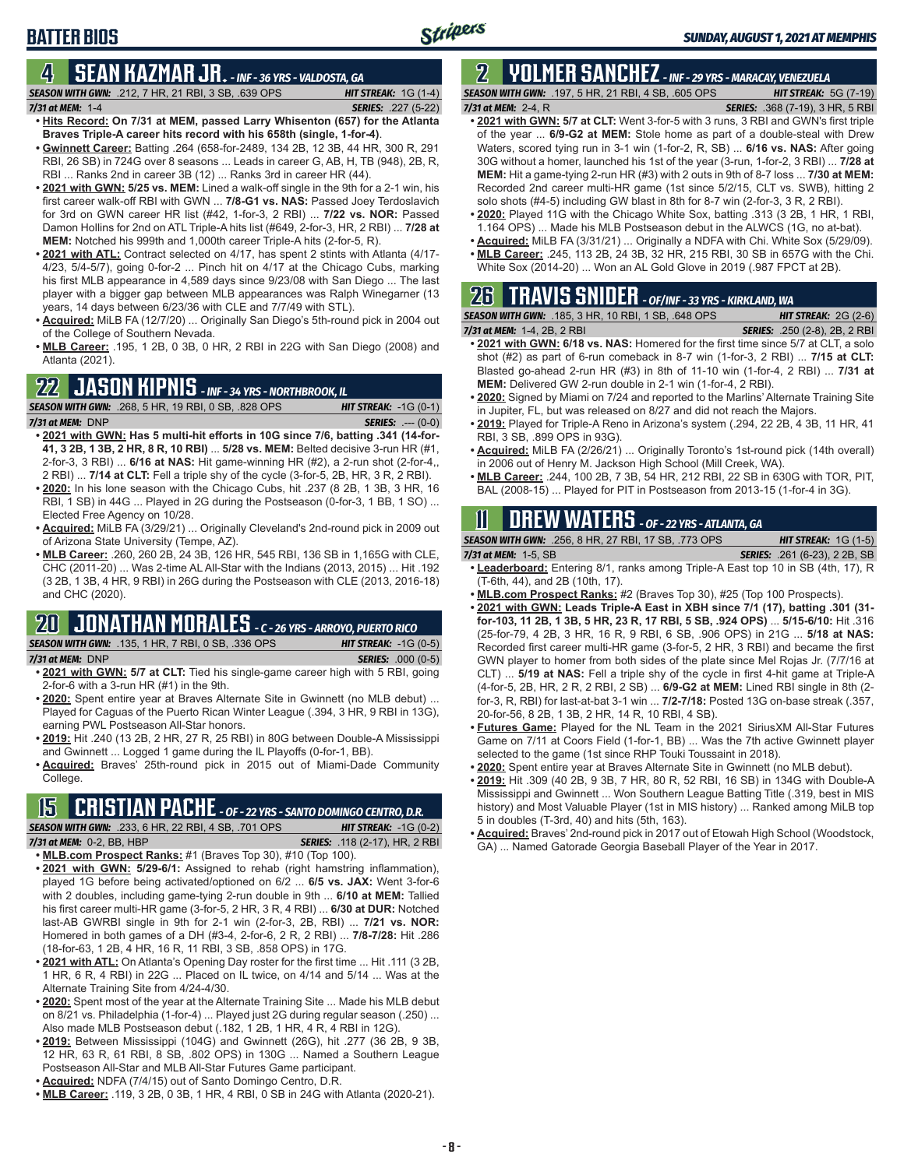### **4 SEAN KAZMAR JR.** *- INF - 36 YRS - VALDOSTA, GA*

*SEASON WITH GWN:*.212, 7 HR, 21 RBI, 3 SB, .639 OPS *HIT STREAK:* 1G (1-4) *7/31 at MEM:*1-4 *SERIES:* .227 (5-22)

- **• Hits Record: On 7/31 at MEM, passed Larry Whisenton (657) for the Atlanta Braves Triple-A career hits record with his 658th (single, 1-for-4)**. **• Gwinnett Career:** Batting .264 (658-for-2489, 134 2B, 12 3B, 44 HR, 300 R, 291
- RBI, 26 SB) in 724G over 8 seasons ... Leads in career G, AB, H, TB (948), 2B, R, RBI ... Ranks 2nd in career 3B (12) ... Ranks 3rd in career HR (44).
- **• 2021 with GWN: 5/25 vs. MEM:** Lined a walk-off single in the 9th for a 2-1 win, his first career walk-off RBI with GWN ... **7/8-G1 vs. NAS:** Passed Joey Terdoslavich for 3rd on GWN career HR list (#42, 1-for-3, 2 RBI) ... **7/22 vs. NOR:** Passed Damon Hollins for 2nd on ATL Triple-A hits list (#649, 2-for-3, HR, 2 RBI) ... **7/28 at MEM:** Notched his 999th and 1,000th career Triple-A hits (2-for-5, R).
- **• 2021 with ATL:** Contract selected on 4/17, has spent 2 stints with Atlanta (4/17- 4/23, 5/4-5/7), going 0-for-2 ... Pinch hit on 4/17 at the Chicago Cubs, marking his first MLB appearance in 4,589 days since 9/23/08 with San Diego ... The last player with a bigger gap between MLB appearances was Ralph Winegarner (13 years, 14 days between 6/23/36 with CLE and 7/7/49 with STL).
- **• Acquired:** MiLB FA (12/7/20) ... Originally San Diego's 5th-round pick in 2004 out of the College of Southern Nevada.
- **• MLB Career:** .195, 1 2B, 0 3B, 0 HR, 2 RBI in 22G with San Diego (2008) and Atlanta (2021).

### **22 JASON KIPNIS** *- INF - 34 YRS - NORTHBROOK, IL*

*SEASON WITH GWN:*.268, 5 HR, 19 RBI, 0 SB, .828 OPS *HIT STREAK:* -1G (0-1) *7/31 at MEM:*DNP *SERIES:* .--- (0-0)

- **• 2021 with GWN: Has 5 multi-hit efforts in 10G since 7/6, batting .341 (14-for-41, 3 2B, 1 3B, 2 HR, 8 R, 10 RBI)** ... **5/28 vs. MEM:** Belted decisive 3-run HR (#1, 2-for-3, 3 RBI) ... **6/16 at NAS:** Hit game-winning HR (#2), a 2-run shot (2-for-4,, 2 RBI) ... **7/14 at CLT:** Fell a triple shy of the cycle (3-for-5, 2B, HR, 3 R, 2 RBI).
- **• 2020:** In his lone season with the Chicago Cubs, hit .237 (8 2B, 1 3B, 3 HR, 16 RBI, 1 SB) in 44G ... Played in 2G during the Postseason (0-for-3, 1 BB, 1 SO) ... Elected Free Agency on 10/28.
- **• Acquired:** MiLB FA (3/29/21) ... Originally Cleveland's 2nd-round pick in 2009 out of Arizona State University (Tempe, AZ).
- **• MLB Career:** .260, 260 2B, 24 3B, 126 HR, 545 RBI, 136 SB in 1,165G with CLE, CHC (2011-20) ... Was 2-time AL All-Star with the Indians (2013, 2015) ... Hit .192 (3 2B, 1 3B, 4 HR, 9 RBI) in 26G during the Postseason with CLE (2013, 2016-18) and CHC (2020).

## **20 JONATHAN MORALES** *- C - 26 YRS - ARROYO, PUERTO RICO*

*SEASON WITH GWN:*.135, 1 HR, 7 RBI, 0 SB, .336 OPS *HIT STREAK:* -1G (0-5) *7/31 at MEM:*DNP *SERIES:* .000 (0-5)

- **• 2021 with GWN: 5/7 at CLT:** Tied his single-game career high with 5 RBI, going 2-for-6 with a 3-run HR (#1) in the 9th.
- **• 2020:** Spent entire year at Braves Alternate Site in Gwinnett (no MLB debut) ... Played for Caguas of the Puerto Rican Winter League (.394, 3 HR, 9 RBI in 13G), earning PWL Postseason All-Star honors.
- **• 2019:** Hit .240 (13 2B, 2 HR, 27 R, 25 RBI) in 80G between Double-A Mississippi and Gwinnett ... Logged 1 game during the IL Playoffs (0-for-1, BB).
- **• Acquired:** Braves' 25th-round pick in 2015 out of Miami-Dade Community College.

## **15 CRISTIAN PACHE** *- OF - 22 YRS - SANTO DOMINGO CENTRO, D.R.*

*SEASON WITH GWN:*.233, 6 HR, 22 RBI, 4 SB, .701 OPS *HIT STREAK:* -1G (0-2) *7/31 at MEM:* 0-2, BB, HBP *SERIES:* .118 (2-17), HR, 2 RBI

**• MLB.com Prospect Ranks:** #1 (Braves Top 30), #10 (Top 100).

- **• 2021 with GWN: 5/29-6/1:** Assigned to rehab (right hamstring inflammation), played 1G before being activated/optioned on 6/2 ... **6/5 vs. JAX:** Went 3-for-6 with 2 doubles, including game-tying 2-run double in 9th ... **6/10 at MEM:** Tallied his first career multi-HR game (3-for-5, 2 HR, 3 R, 4 RBI) ... **6/30 at DUR:** Notched last-AB GWRBI single in 9th for 2-1 win (2-for-3, 2B, RBI) ... **7/21 vs. NOR:** Homered in both games of a DH (#3-4, 2-for-6, 2 R, 2 RBI) ... **7/8-7/28:** Hit .286 (18-for-63, 1 2B, 4 HR, 16 R, 11 RBI, 3 SB, .858 OPS) in 17G.
- **• 2021 with ATL:** On Atlanta's Opening Day roster for the first time ... Hit .111 (3 2B, 1 HR, 6 R, 4 RBI) in 22G ... Placed on IL twice, on 4/14 and 5/14 ... Was at the Alternate Training Site from 4/24-4/30.
- **• 2020:** Spent most of the year at the Alternate Training Site ... Made his MLB debut on 8/21 vs. Philadelphia (1-for-4) ... Played just 2G during regular season (.250) ... Also made MLB Postseason debut (.182, 1 2B, 1 HR, 4 R, 4 RBI in 12G).
- **• 2019:** Between Mississippi (104G) and Gwinnett (26G), hit .277 (36 2B, 9 3B, 12 HR, 63 R, 61 RBI, 8 SB, .802 OPS) in 130G ... Named a Southern League Postseason All-Star and MLB All-Star Futures Game participant.
- **• Acquired:** NDFA (7/4/15) out of Santo Domingo Centro, D.R.
- **• MLB Career:** .119, 3 2B, 0 3B, 1 HR, 4 RBI, 0 SB in 24G with Atlanta (2020-21).

### **2 YOLMER SANCHEZ** *- INF - 29 YRS - MARACAY, VENEZUELA SEASON WITH GWN:*.197, 5 HR, 21 RBI, 4 SB, .605 OPS *HIT STREAK:* 5G (7-19)

*7/31 at MEM:*2-4, R *SERIES:* .368 (7-19), 3 HR, 5 RBI

- **• 2021 with GWN: 5/7 at CLT:** Went 3-for-5 with 3 runs, 3 RBI and GWN's first triple of the year ... **6/9-G2 at MEM:** Stole home as part of a double-steal with Drew Waters, scored tying run in 3-1 win (1-for-2, R, SB) ... **6/16 vs. NAS:** After going 30G without a homer, launched his 1st of the year (3-run, 1-for-2, 3 RBI) ... **7/28 at MEM:** Hit a game-tying 2-run HR (#3) with 2 outs in 9th of 8-7 loss ... **7/30 at MEM:** Recorded 2nd career multi-HR game (1st since 5/2/15, CLT vs. SWB), hitting 2 solo shots (#4-5) including GW blast in 8th for 8-7 win (2-for-3, 3 R, 2 RBI).
- **• 2020:** Played 11G with the Chicago White Sox, batting .313 (3 2B, 1 HR, 1 RBI, 1.164 OPS) ... Made his MLB Postseason debut in the ALWCS (1G, no at-bat).
- **• Acquired:** MiLB FA (3/31/21) ... Originally a NDFA with Chi. White Sox (5/29/09). **• MLB Career:** .245, 113 2B, 24 3B, 32 HR, 215 RBI, 30 SB in 657G with the Chi.
- White Sox (2014-20) ... Won an AL Gold Glove in 2019 (.987 FPCT at 2B).

# **26 TRAVIS SNIDER** *- OF/INF - 33 YRS - KIRKLAND, WA*

| <b>SEASON WITH GWN: .185, 3 HR, 10 RBI, 1 SB, .648 OPS</b> | <b>HIT STREAK:</b> $2G(2-6)$         |
|------------------------------------------------------------|--------------------------------------|
| 7/31 at MEM: 1-4, 2B, 2 RBI                                | <b>SERIES:</b> .250 (2-8), 2B, 2 RBI |

- **• 2021 with GWN: 6/18 vs. NAS:** Homered for the first time since 5/7 at CLT, a solo shot (#2) as part of 6-run comeback in 8-7 win (1-for-3, 2 RBI) ... **7/15 at CLT:** Blasted go-ahead 2-run HR (#3) in 8th of 11-10 win (1-for-4, 2 RBI) ... **7/31 at MEM:** Delivered GW 2-run double in 2-1 win (1-for-4, 2 RBI).
- **• 2020:** Signed by Miami on 7/24 and reported to the Marlins' Alternate Training Site in Jupiter, FL, but was released on 8/27 and did not reach the Majors.
- **• 2019:** Played for Triple-A Reno in Arizona's system (.294, 22 2B, 4 3B, 11 HR, 41 RBI, 3 SB, .899 OPS in 93G).
- **• Acquired:** MiLB FA (2/26/21) ... Originally Toronto's 1st-round pick (14th overall) in 2006 out of Henry M. Jackson High School (Mill Creek, WA).
- **• MLB Career:** .244, 100 2B, 7 3B, 54 HR, 212 RBI, 22 SB in 630G with TOR, PIT, BAL (2008-15) ... Played for PIT in Postseason from 2013-15 (1-for-4 in 3G).

## **11 Drew WATERS** *- OF - 22 YRS - ATLANTA, GA*

*SEASON WITH GWN:*.256, 8 HR, 27 RBI, 17 SB, .773 OPS *HIT STREAK:* 1G (1-5) *7/31 at MEM:*1-5, SB *SERIES:* .261 (6-23), 2 2B, SB

- **• Leaderboard:** Entering 8/1, ranks among Triple-A East top 10 in SB (4th, 17), R (T-6th, 44), and 2B (10th, 17).
- **• MLB.com Prospect Ranks:** #2 (Braves Top 30), #25 (Top 100 Prospects).
- **• 2021 with GWN: Leads Triple-A East in XBH since 7/1 (17), batting .301 (31 for-103, 11 2B, 1 3B, 5 HR, 23 R, 17 RBI, 5 SB, .924 OPS)** ... **5/15-6/10:** Hit .316 (25-for-79, 4 2B, 3 HR, 16 R, 9 RBI, 6 SB, .906 OPS) in 21G ... **5/18 at NAS:** Recorded first career multi-HR game (3-for-5, 2 HR, 3 RBI) and became the first GWN player to homer from both sides of the plate since Mel Rojas Jr. (7/7/16 at CLT) ... **5/19 at NAS:** Fell a triple shy of the cycle in first 4-hit game at Triple-A (4-for-5, 2B, HR, 2 R, 2 RBI, 2 SB) ... **6/9-G2 at MEM:** Lined RBI single in 8th (2 for-3, R, RBI) for last-at-bat 3-1 win ... **7/2-7/18:** Posted 13G on-base streak (.357, 20-for-56, 8 2B, 1 3B, 2 HR, 14 R, 10 RBI, 4 SB).
- **• Futures Game:** Played for the NL Team in the 2021 SiriusXM All-Star Futures Game on 7/11 at Coors Field (1-for-1, BB) ... Was the 7th active Gwinnett player selected to the game (1st since RHP Touki Toussaint in 2018).
- **• 2020:** Spent entire year at Braves Alternate Site in Gwinnett (no MLB debut).
- **• 2019:** Hit .309 (40 2B, 9 3B, 7 HR, 80 R, 52 RBI, 16 SB) in 134G with Double-A Mississippi and Gwinnett ... Won Southern League Batting Title (.319, best in MIS history) and Most Valuable Player (1st in MIS history) ... Ranked among MiLB top 5 in doubles (T-3rd, 40) and hits (5th, 163).
- **• Acquired:** Braves' 2nd-round pick in 2017 out of Etowah High School (Woodstock, GA) ... Named Gatorade Georgia Baseball Player of the Year in 2017.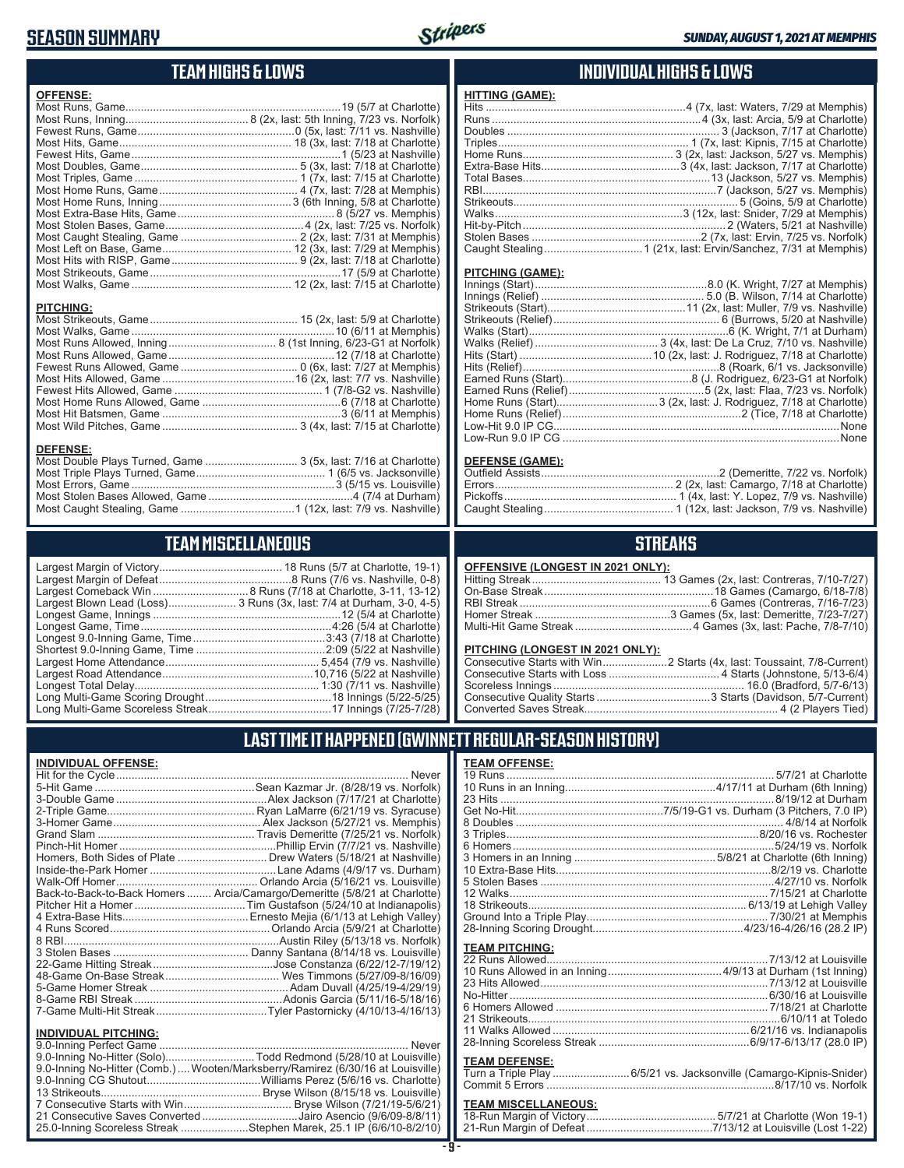### **SEASON SUMMARY**



### **TEAM HIGHS & LOWS**

| <b>OFFENSE:</b>  |  |
|------------------|--|
|                  |  |
|                  |  |
|                  |  |
| <b>PITCHING:</b> |  |
| <b>DEEEMOE.</b>  |  |

#### **DEFENSE:**

| Most Double Plays Turned, Game  3 (5x, last: 7/16 at Charlotte) |  |
|-----------------------------------------------------------------|--|
|                                                                 |  |
|                                                                 |  |
|                                                                 |  |
|                                                                 |  |

## **TEAM MISCELLANEOUS**

| Largest Blown Lead (Loss) 3 Runs (3x, last: 7/4 at Durham, 3-0, 4-5) |
|----------------------------------------------------------------------|
|                                                                      |
|                                                                      |
|                                                                      |
|                                                                      |
|                                                                      |
|                                                                      |
|                                                                      |
|                                                                      |
|                                                                      |

### **INDIVIDUAL HIGHS & LOWS**

| <b>HITTING (GAME):</b> |  |
|------------------------|--|
|                        |  |
|                        |  |
|                        |  |
|                        |  |
|                        |  |
|                        |  |
|                        |  |
|                        |  |
|                        |  |
|                        |  |
|                        |  |
|                        |  |
|                        |  |
|                        |  |

#### **PITCHING (GAME):**

#### **DEFENSE (GAME):**

### **STREAKS**

#### **OFFENSIVE (LONGEST IN 2021 ONLY):**

#### **PITCHING (LONGEST IN 2021 ONLY):**

### **LAST TIME IT HAPPENED (GWINNETT REGULAR-SEASON HISTORY)**

#### **INDIVIDUAL OFFENSE:**

|                                                        | Homers, Both Sides of Plate  Drew Waters (5/18/21 at Nashville)            |
|--------------------------------------------------------|----------------------------------------------------------------------------|
|                                                        |                                                                            |
|                                                        |                                                                            |
|                                                        | Back-to-Back-to-Back Homers  Arcia/Camargo/Demeritte (5/8/21 at Charlotte) |
|                                                        |                                                                            |
|                                                        |                                                                            |
|                                                        |                                                                            |
|                                                        |                                                                            |
|                                                        |                                                                            |
|                                                        |                                                                            |
|                                                        |                                                                            |
|                                                        |                                                                            |
|                                                        |                                                                            |
|                                                        |                                                                            |
|                                                        |                                                                            |
| <b>INDIVIDUAL PITCHING:</b><br>0.0 Inning Porfoot Camo | Novor                                                                      |
|                                                        |                                                                            |

| 111011100711110111110.                                                         |  |
|--------------------------------------------------------------------------------|--|
|                                                                                |  |
| 9.0-Inning No-Hitter (Solo)Todd Redmond (5/28/10 at Louisville)                |  |
| 9.0-Inning No-Hitter (Comb.) Wooten/Marksberry/Ramirez (6/30/16 at Louisville) |  |
|                                                                                |  |
|                                                                                |  |
|                                                                                |  |
| 21 Consecutive Saves Converted Jairo Asencio (9/6/09-8/8/11)                   |  |
| 25.0-Inning Scoreless Streak Stephen Marek, 25.1 IP (6/6/10-8/2/10)            |  |
|                                                                                |  |

#### **TEAM OFFENSE:**

| I EAM UFFENSE.        |                                                                    |
|-----------------------|--------------------------------------------------------------------|
|                       |                                                                    |
|                       |                                                                    |
|                       |                                                                    |
|                       |                                                                    |
|                       |                                                                    |
|                       |                                                                    |
|                       |                                                                    |
|                       |                                                                    |
|                       |                                                                    |
|                       |                                                                    |
|                       |                                                                    |
|                       |                                                                    |
|                       |                                                                    |
|                       |                                                                    |
| <b>TEAM PITCHING:</b> |                                                                    |
|                       |                                                                    |
|                       |                                                                    |
|                       |                                                                    |
|                       |                                                                    |
|                       |                                                                    |
|                       |                                                                    |
|                       |                                                                    |
|                       |                                                                    |
|                       |                                                                    |
| <b>TEAM DEFENSE:</b>  |                                                                    |
|                       | Turn a Triple Play 6/5/21 vs. Jacksonville (Camargo-Kipnis-Snider) |
|                       |                                                                    |
|                       |                                                                    |

| TEAM MISCELLANEOUS: |                                                                       |  |
|---------------------|-----------------------------------------------------------------------|--|
|                     |                                                                       |  |
|                     | 21-Run Margin of Defeat…………………………………7/13/12 at Louisville (Lost 1-22) |  |